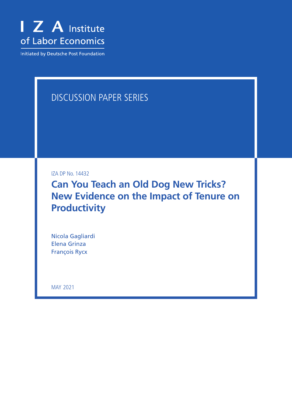

Initiated by Deutsche Post Foundation

# DISCUSSION PAPER SERIES

IZA DP No. 14432

**Can You Teach an Old Dog New Tricks? New Evidence on the Impact of Tenure on Productivity**

Nicola Gagliardi Elena Grinza François Rycx

MAY 2021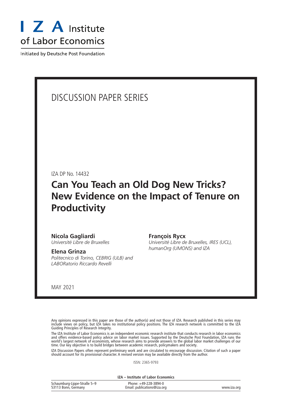

Initiated by Deutsche Post Foundation

## DISCUSSION PAPER SERIES

IZA DP No. 14432

# **Can You Teach an Old Dog New Tricks? New Evidence on the Impact of Tenure on Productivity**

#### **Nicola Gagliardi**

*Université Libre de Bruxelles*

#### **Elena Grinza**

*Politecnico di Torino, CEBRIG (ULB) and LABORatorio Riccardo Revelli*

#### **François Rycx**

*Université Libre de Bruxelles, IRES (UCL), humanOrg (UMONS) and IZA*

MAY 2021

Any opinions expressed in this paper are those of the author(s) and not those of IZA. Research published in this series may include views on policy, but IZA takes no institutional policy positions. The IZA research network is committed to the IZA Guiding Principles of Research Integrity.

The IZA Institute of Labor Economics is an independent economic research institute that conducts research in labor economics and offers evidence-based policy advice on labor market issues. Supported by the Deutsche Post Foundation, IZA runs the world's largest network of economists, whose research aims to provide answers to the global labor market challenges of our time. Our key objective is to build bridges between academic research, policymakers and society.

IZA Discussion Papers often represent preliminary work and are circulated to encourage discussion. Citation of such a paper should account for its provisional character. A revised version may be available directly from the author.

ISSN: 2365-9793

**IZA – Institute of Labor Economics**

| Schaumburg-Lippe-Straße 5-9 | Phone: +49-228-3894-0       |             |
|-----------------------------|-----------------------------|-------------|
| 53113 Bonn, Germany         | Email: publications@iza.org | www.iza.org |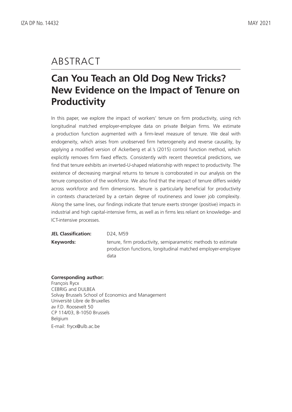## ABSTRACT

# **Can You Teach an Old Dog New Tricks? New Evidence on the Impact of Tenure on Productivity**

In this paper, we explore the impact of workers' tenure on firm productivity, using rich longitudinal matched employer-employee data on private Belgian firms. We estimate a production function augmented with a firm-level measure of tenure. We deal with endogeneity, which arises from unobserved firm heterogeneity and reverse causality, by applying a modified version of Ackerberg et al.'s (2015) control function method, which explicitly removes firm fixed effects. Consistently with recent theoretical predictions, we find that tenure exhibits an inverted-U-shaped relationship with respect to productivity. The existence of decreasing marginal returns to tenure is corroborated in our analysis on the tenure composition of the workforce. We also find that the impact of tenure differs widely across workforce and firm dimensions. Tenure is particularly beneficial for productivity in contexts characterized by a certain degree of routineness and lower job complexity. Along the same lines, our findings indicate that tenure exerts stronger (positive) impacts in industrial and high capital-intensive firms, as well as in firms less reliant on knowledge- and ICT-intensive processes.

**JEL Classification:** D24, M59

**Keywords:** tenure, firm productivity, semiparametric methods to estimate production functions, longitudinal matched employer-employee data

#### **Corresponding author:**

François Rycx CEBRIG and DULBEA Solvay Brussels School of Economics and Management Université Libre de Bruxelles av F.D. Roosevelt 50 CP 114/03, B-1050 Brussels Belgium E-mail: frycx@ulb.ac.be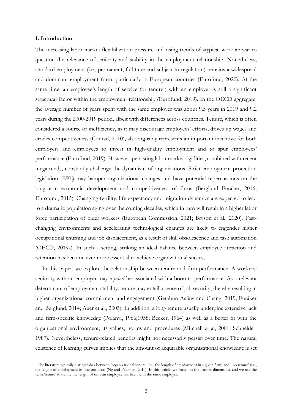#### **1. Introduction**

The increasing labor market flexibilization pressure and rising trends of atypical work appear to question the relevance of seniority and stability in the employment relationship. Nonetheless, standard employment (i.e., permanent, full time and subject to regulation) remains a widespread and dominant employment form, particularly in European countries (Eurofund, 2020). At the same time, an employee's length of service (or tenure<sup>1</sup>) with an employer is still a significant structural factor within the employment relationship (Eurofund, 2019). In the OECD aggregate, the average number of years spent with the same employer was about 9.5 years in 2019 and 9.2 years during the 2000-2019 period, albeit with differences across countries. Tenure, which is often considered a source of inefficiency, as it may discourage employees' efforts, drives up wages and erodes competitiveness (Conrad, 2010), also arguably represents an important incentive for both employers and employees to invest in high-quality employment and to spur employees' performance (Eurofund, 2019). However, persisting labor market rigidities, combined with recent megatrends, constantly challenge the dynamism of organizations. Strict employment protection legislation (EPL) may hamper organizational changes and have potential repercussions on the long-term economic development and competitiveness of firms (Berglund Furåker, 2016; Eurofund, 2015). Changing fertility, life expectancy and migration dynamics are expected to lead to a dramatic population aging over the coming decades, which in turn will result in a higher labor force participation of older workers (European Commission, 2021; Bryson et al., 2020). Fastchanging environments and accelerating technological changes are likely to engender higher occupational churning and job displacement, as a result of skill obsolescence and task automation (OECD, 2019a). In such a setting, striking an ideal balance between employee attraction and retention has become ever more essential to achieve organizational success.

In this paper, we explore the relationship between tenure and firm performance. A workers' seniority with an employer may *a priori* be associated with a boon to performance. As a relevant determinant of employment stability, tenure may entail a sense of job security, thereby resulting in higher organizational commitment and engagement (Getahun Asfaw and Chang, 2019; Furåker and Berglund, 2014; Auer et al., 2005). In addition, a long tenure usually underpins extensive tacit and firm-specific knowledge (Polanyi, 1966;1958; Becker, 1964) as well as a better fit with the organizational environment, its values, norms and procedures (Mitchell et al, 2001; Schneider, 1987). Nevertheless, tenure-related benefits might not necessarily persist over time. The natural existence of learning curves implies that the amount of acquirable organizational knowledge is set

<sup>1</sup> The literature typically distinguishes between 'organizational tenure' (i.e., the length of employment in a given firm) and 'job tenure' (i.e., the length of employment in one position) (Ng and Feldman, 2010). In this article, we focus on the former dimension, and we use the term 'tenure' to define the length of time an employee has been with the same employer.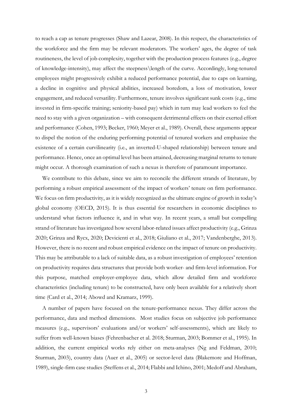to reach a cap as tenure progresses (Shaw and Lazear, 2008). In this respect, the characteristics of the workforce and the firm may be relevant moderators. The workers' ages, the degree of task routineness, the level of job complexity, together with the production process features (e.g., degree of knowledge-intensity), may affect the steepness\length of the curve. Accordingly, long-tenured employees might progressively exhibit a reduced performance potential, due to caps on learning, a decline in cognitive and physical abilities, increased boredom, a loss of motivation, lower engagement, and reduced versatility. Furthermore, tenure involves significant sunk costs (e.g., time invested in firm-specific training; seniority-based pay) which in turn may lead workers to feel the need to stay with a given organization – with consequent detrimental effects on their exerted effort and performance (Cohen, 1993; Becker, 1960; Meyer et al., 1989). Overall, these arguments appear to dispel the notion of the enduring performing potential of tenured workers and emphasize the existence of a certain curvilinearity (i.e., an inverted-U-shaped relationship) between tenure and performance. Hence, once an optimal level has been attained, decreasing marginal returns to tenure might occur. A thorough examination of such a nexus is therefore of paramount importance.

We contribute to this debate, since we aim to reconcile the different strands of literature, by performing a robust empirical assessment of the impact of workers' tenure on firm performance. We focus on firm productivity, as it is widely recognized as the ultimate engine of growth in today's global economy (OECD, 2015). It is thus essential for researchers in economic disciplines to understand what factors influence it, and in what way. In recent years, a small but compelling strand of literature has investigated how several labor-related issues affect productivity (e.g., Grinza 2020; Grinza and Rycx, 2020; Devicienti et al., 2018; Giuliano et al., 2017; Vandenberghe, 2013). However, there is no recent and robust empirical evidence on the impact of tenure on productivity. This may be attributable to a lack of suitable data, as a robust investigation of employees' retention on productivity requires data structures that provide both worker- and firm-level information. For this purpose, matched employer-employee data, which allow detailed firm and workforce characteristics (including tenure) to be constructed, have only been available for a relatively short time (Card et al., 2014; Abowd and Kramarz, 1999).

A number of papers have focused on the tenure-performance nexus. They differ across the performance, data and method dimensions. Most studies focus on subjective job performance measures (e.g., supervisors' evaluations and/or workers' self-assessments), which are likely to suffer from well-known biases (Fehrenbacher et al. 2018; Sturman, 2003; Bommer et al., 1995). In addition, the current empirical works rely either on meta-analyses (Ng and Feldman, 2010; Sturman, 2003), country data (Auer et al., 2005) or sector-level data (Blakemore and Hoffman, 1989), single-firm case studies (Steffens et al., 2014; Flabbi and Ichino, 2001; Medoff and Abraham,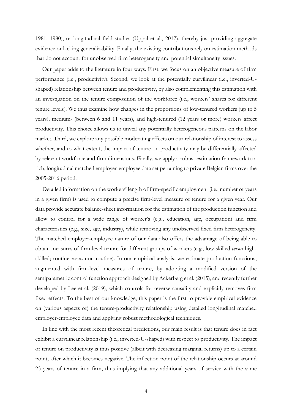1981; 1980), or longitudinal field studies (Uppal et al., 2017), thereby just providing aggregate evidence or lacking generalizability. Finally, the existing contributions rely on estimation methods that do not account for unobserved firm heterogeneity and potential simultaneity issues.

Our paper adds to the literature in four ways. First, we focus on an objective measure of firm performance (i.e., productivity). Second, we look at the potentially curvilinear (i.e., inverted-Ushaped) relationship between tenure and productivity, by also complementing this estimation with an investigation on the tenure composition of the workforce (i.e., workers' shares for different tenure levels). We thus examine how changes in the proportions of low-tenured workers (up to 5 years), medium- (between 6 and 11 years), and high-tenured (12 years or more) workers affect productivity. This choice allows us to unveil any potentially heterogeneous patterns on the labor market. Third, we explore any possible moderating effects on our relationship of interest to assess whether, and to what extent, the impact of tenure on productivity may be differentially affected by relevant workforce and firm dimensions. Finally, we apply a robust estimation framework to a rich, longitudinal matched employer-employee data set pertaining to private Belgian firms over the 2005-2016 period.

Detailed information on the workers' length of firm-specific employment (i.e., number of years in a given firm) is used to compute a precise firm-level measure of tenure for a given year. Our data provide accurate balance-sheet information for the estimation of the production function and allow to control for a wide range of worker's (e.g., education, age, occupation) and firm characteristics (e.g., size, age, industry), while removing any unobserved fixed firm heterogeneity. The matched employer-employee nature of our data also offers the advantage of being able to obtain measures of firm-level tenure for different groups of workers (e.g., low-skilled *versus* highskilled; routine *versus* non-routine). In our empirical analysis, we estimate production functions, augmented with firm-level measures of tenure, by adopting a modified version of the semiparametric control function approach designed by Ackerberg et al. (2015), and recently further developed by Lee et al. (2019), which controls for reverse causality and explicitly removes firm fixed effects. To the best of our knowledge, this paper is the first to provide empirical evidence on (various aspects of) the tenure-productivity relationship using detailed longitudinal matched employer-employee data and applying robust methodological techniques.

In line with the most recent theoretical predictions, our main result is that tenure does in fact exhibit a curvilinear relationship (i.e., inverted-U-shaped) with respect to productivity. The impact of tenure on productivity is thus positive (albeit with decreasing marginal returns) up to a certain point, after which it becomes negative. The inflection point of the relationship occurs at around 23 years of tenure in a firm, thus implying that any additional years of service with the same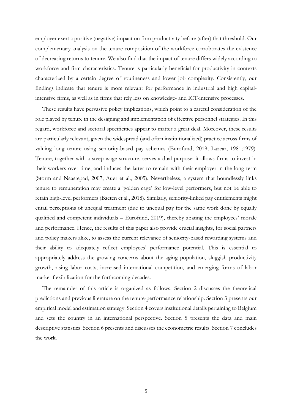employer exert a positive (negative) impact on firm productivity before (after) that threshold. Our complementary analysis on the tenure composition of the workforce corroborates the existence of decreasing returns to tenure. We also find that the impact of tenure differs widely according to workforce and firm characteristics. Tenure is particularly beneficial for productivity in contexts characterized by a certain degree of routineness and lower job complexity. Consistently, our findings indicate that tenure is more relevant for performance in industrial and high capitalintensive firms, as well as in firms that rely less on knowledge- and ICT-intensive processes.

These results have pervasive policy implications, which point to a careful consideration of the role played by tenure in the designing and implementation of effective personnel strategies. In this regard, workforce and sectoral specificities appear to matter a great deal. Moreover, these results are particularly relevant, given the widespread (and often institutionalized) practice across firms of valuing long tenure using seniority-based pay schemes (Eurofund, 2019; Lazear, 1981;1979). Tenure, together with a steep wage structure, serves a dual purpose: it allows firms to invest in their workers over time, and induces the latter to remain with their employer in the long term (Storm and Naastepad, 2007; Auer et al., 2005). Nevertheless, a system that boundlessly links tenure to remuneration may create a 'golden cage' for low-level performers, but not be able to retain high-level performers (Baeten et al., 2018). Similarly, seniority-linked pay entitlements might entail perceptions of unequal treatment (due to unequal pay for the same work done by equally qualified and competent individuals – Eurofund, 2019), thereby abating the employees' morale and performance. Hence, the results of this paper also provide crucial insights, for social partners and policy makers alike, to assess the current relevance of seniority-based rewarding systems and their ability to adequately reflect employees' performance potential. This is essential to appropriately address the growing concerns about the aging population, sluggish productivity growth, rising labor costs, increased international competition, and emerging forms of labor market flexibilization for the forthcoming decades.

The remainder of this article is organized as follows. Section 2 discusses the theoretical predictions and previous literature on the tenure-performance relationship. Section 3 presents our empirical model and estimation strategy. Section 4 covers institutional details pertaining to Belgium and sets the country in an international perspective. Section 5 presents the data and main descriptive statistics. Section 6 presents and discusses the econometric results. Section 7 concludes the work.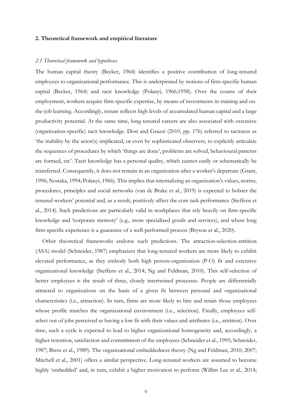#### **2. Theoretical framework and empirical literature**

#### *2.1 Theoretical framework and hypotheses*

The human capital theory (Becker, 1964) identifies a positive contribution of long-tenured employees to organizational performance. This is underpinned by notions of firm-specific human capital (Becker, 1964) and tacit knowledge (Polanyi, 1966;1958). Over the course of their employment, workers acquire firm-specific expertise, by means of investments in training and onthe-job learning. Accordingly, tenure reflects high levels of accumulated human capital and a large productivity potential. At the same time, long-tenured careers are also associated with extensive (organization-specific) tacit knowledge. Dosi and Grazzi (2010, pp. 176) referred to tacitness as 'the inability by the actor(s) implicated, or even by sophisticated observers, to explicitly articulate the sequences of procedures by which 'things are done', problems are solved, behavioural patterns are formed, etc'. Tacit knowledge has a personal quality, which cannot easily or schematically be transferred. Consequently, it does not remain in an organization after a worker's departure (Grant, 1996; Nonaka, 1994; Polanyi, 1966). This implies that internalizing an organization's values, norms, procedures, principles and social networks (van de Brake et al., 2019) is expected to bolster the tenured workers' potential and, as a result, positively affect the core task performance (Steffens et al., 2014). Such predictions are particularly valid in workplaces that rely heavily on firm-specific knowledge and 'corporate memory' (e.g., more specialized goods and services), and where long firm-specific experience is a guarantee of a well-performed process (Bryson et al., 2020).

Other theoretical frameworks endorse such predictions. The attraction-selection-attrition (ASA) model (Schneider, 1987) emphasizes that long-tenured workers are more likely to exhibit elevated performance, as they embody both high person-organization (P-O) fit and extensive organizational knowledge (Steffens et al., 2014; Ng and Feldman, 2010). This self-selection of better employees is the result of three, closely intertwined processes. People are differentially attracted to organizations on the basis of a given fit between personal and organizational characteristics (i.e., attraction). In turn, firms are more likely to hire and retain those employees whose profile matches the organizational environment (i.e., selection). Finally, employees selfselect out of jobs perceived as having a low fit with their values and attributes (i.e., attrition). Over time, such a cycle is expected to lead to higher organizational homogeneity and, accordingly, a higher retention, satisfaction and commitment of the employees (Schneider et al., 1995; Schneider, 1987; Bretz et al., 1989). The organizational embeddedness theory (Ng and Feldman, 2010; 2007; Mitchell et al., 2001) offers a similar perspective. Long-tenured workers are assumed to become highly 'embedded' and, in turn, exhibit a higher motivation to perform (Willim Lee et al., 2014;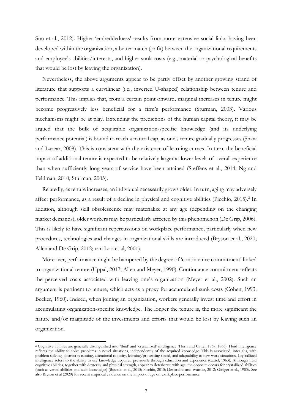Sun et al., 2012). Higher 'embeddedness' results from more extensive social links having been developed within the organization, a better match (or fit) between the organizational requirements and employee's abilities/interests, and higher sunk costs (e.g., material or psychological benefits that would be lost by leaving the organization).

Nevertheless, the above arguments appear to be partly offset by another growing strand of literature that supports a curvilinear (i.e., inverted U-shaped) relationship between tenure and performance. This implies that, from a certain point onward, marginal increases in tenure might become progressively less beneficial for a firm's performance (Sturman, 2003). Various mechanisms might be at play. Extending the predictions of the human capital theory, it may be argued that the bulk of acquirable organization-specific knowledge (and its underlying performance potential) is bound to reach a natural cap, as one's tenure gradually progresses (Shaw and Lazear, 2008). This is consistent with the existence of learning curves. In turn, the beneficial impact of additional tenure is expected to be relatively larger at lower levels of overall experience than when sufficiently long years of service have been attained (Steffens et al., 2014; Ng and Feldman, 2010; Sturman, 2003).

Relatedly, as tenure increases, an individual necessarily grows older. In turn, aging may adversely affect performance, as a result of a decline in physical and cognitive abilities (Picchio, 2015).<sup>2</sup> In addition, although skill obsolescence may materialize at any age (depending on the changing market demands), older workers may be particularly affected by this phenomenon (De Grip, 2006). This is likely to have significant repercussions on workplace performance, particularly when new procedures, technologies and changes in organizational skills are introduced (Bryson et al., 2020; Allen and De Grip, 2012; van Loo et al, 2001).

Moreover, performance might be hampered by the degree of 'continuance commitment' linked to organizational tenure (Uppal, 2017; Allen and Meyer, 1990). Continuance commitment reflects the perceived costs associated with leaving one's organization (Meyer et al., 2002). Such an argument is pertinent to tenure, which acts as a proxy for accumulated sunk costs (Cohen, 1993; Becker, 1960). Indeed, when joining an organization, workers generally invest time and effort in accumulating organization-specific knowledge. The longer the tenure is, the more significant the nature and/or magnitude of the investments and efforts that would be lost by leaving such an organization.

<sup>2</sup> Cognitive abilities are generally distinguished into 'fluid' and 'crystallized' intelligence (Horn and Cattel, 1967; 1966). Fluid intelligence reflects the ability to solve problems in novel situations, independently of the acquired knowledge. This is associated, inter alia, with problem solving, abstract reasoning, attentional capacity, learning/processing speed, and adaptability to new work situations. Crystallized intelligence refers to the ability to use knowledge acquired previously through education and experience (Cattel, 1963). Although fluid cognitive abilities, together with dexterity and physical strength, appear to deteriorate with age, the opposite occurs for crystallized abilities (such as verbal abilities and tacit knowledge) (Bussolo et al., 2015; Picchio, 2015; Desjardins and Warnke, 2012; Giniger et al., 1983). See also Bryson et al (2020) for recent empirical evidence on the impact of age on workplace performance.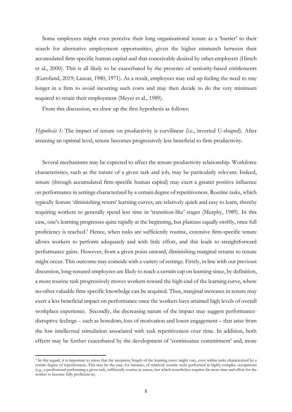Some employees might even perceive their long organizational tenure as a 'barrier' to their search for alternative employment opportunities, given the higher mismatch between their accumulated firm-specific human capital and that conceivably desired by other employers (Hirsch et al., 2000). This is all likely to be exacerbated by the presence of seniority-based entitlements (Eurofund, 2019; Lazear, 1980, 1971). As a result, employees may end up feeling the need to stay longer in a firm to avoid incurring such costs and may then decide to do the very minimum required to retain their employment (Meyer et al., 1989).

From this discussion, we draw up the first hypothesis as follows:

*Hypothesis 1:* The impact of tenure on productivity is curvilinear (i.e., inverted U-shaped). After attaining an optimal level, tenure becomes progressively less beneficial to firm productivity.

Several mechanisms may be expected to affect the tenure-productivity relationship. Workforce characteristics, such as the nature of a given task and job, may be particularly relevant. Indeed, tenure (through accumulated firm-specific human capital) may exert a greater positive influence on performance in settings characterized by a certain degree of repetitiveness. Routine tasks, which typically feature 'diminishing return' learning curves, are relatively quick and easy to learn, thereby requiring workers to generally spend less time in 'transition-like' stages (Murphy, 1989). In this case, one's learning progresses quite rapidly at the beginning, but plateaus equally swiftly, once full proficiency is reached.<sup>3</sup> Hence, when tasks are sufficiently routine, extensive firm-specific tenure allows workers to perform adequately and with little effort, and this leads to straightforward performance gains. However, from a given point onward, diminishing marginal returns to tenure might occur. This outcome may coincide with a variety of settings. Firstly, in line with our previous discussion, long-tenured employees are likely to reach a certain cap on learning since, by definition, a more routine task progressively moves workers toward the high-end of the learning curve, where no other valuable firm-specific knowledge can be acquired. Thus, marginal increases in tenure may exert a less beneficial impact on performance once the workers have attained high levels of overall workplace experience. Secondly, the decreasing nature of the impact may suggest performancedisruptive feelings – such as boredom, loss of motivation and lower engagement – that arise from the low intellectual stimulation associated with task repetitiveness over time. In addition, both effects may be further exacerbated by the development of 'continuance commitment' and, more

<sup>&</sup>lt;sup>3</sup> In this regard, it is important to stress that the steepness/length of the learning curve might vary, even within tasks characterized by a certain degree of repetitiveness. This may be the case, for instance, of relatively routine tasks performed in highly-complex occupations (e.g., a professional performing a given task, sufficiently routine in nature, but which nonetheless requires far more time and effort for the worker to become fully proficient at).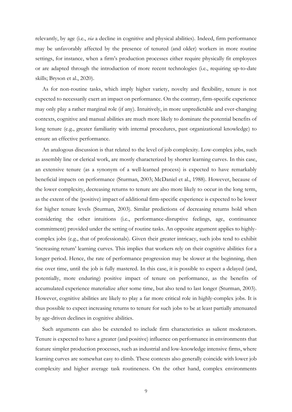relevantly, by age (i.e., *via* a decline in cognitive and physical abilities). Indeed, firm performance may be unfavorably affected by the presence of tenured (and older) workers in more routine settings, for instance, when a firm's production processes either require physically fit employees or are adapted through the introduction of more recent technologies (i.e., requiring up-to-date skills; Bryson et al., 2020).

As for non-routine tasks, which imply higher variety, novelty and flexibility, tenure is not expected to necessarily exert an impact on performance. On the contrary, firm-specific experience may only play a rather marginal role (if any). Intuitively, in more unpredictable and ever-changing contexts, cognitive and manual abilities are much more likely to dominate the potential benefits of long tenure (e.g., greater familiarity with internal procedures, past organizational knowledge) to ensure an effective performance.

An analogous discussion is that related to the level of job complexity. Low-complex jobs, such as assembly line or clerical work, are mostly characterized by shorter learning curves. In this case, an extensive tenure (as a synonym of a well-learned process) is expected to have remarkably beneficial impacts on performance (Sturman, 2003; McDaniel et al., 1988). However, because of the lower complexity, decreasing returns to tenure are also more likely to occur in the long term, as the extent of the (positive) impact of additional firm-specific experience is expected to be lower for higher tenure levels (Sturman, 2003). Similar predictions of decreasing returns hold when considering the other intuitions (i.e., performance-disruptive feelings, age, continuance commitment) provided under the setting of routine tasks. An opposite argument applies to highlycomplex jobs (e.g., that of professionals). Given their greater intricacy, such jobs tend to exhibit 'increasing return' learning curves. This implies that workers rely on their cognitive abilities for a longer period. Hence, the rate of performance progression may be slower at the beginning, then rise over time, until the job is fully mastered. In this case, it is possible to expect a delayed (and, potentially, more enduring) positive impact of tenure on performance, as the benefits of accumulated experience materialize after some time, but also tend to last longer (Sturman, 2003). However, cognitive abilities are likely to play a far more critical role in highly-complex jobs. It is thus possible to expect increasing returns to tenure for such jobs to be at least partially attenuated by age-driven declines in cognitive abilities.

Such arguments can also be extended to include firm characteristics as salient moderators. Tenure is expected to have a greater (and positive) influence on performance in environments that feature simpler production processes, such as industrial and low-knowledge intensive firms, where learning curves are somewhat easy to climb. These contexts also generally coincide with lower job complexity and higher average task routineness. On the other hand, complex environments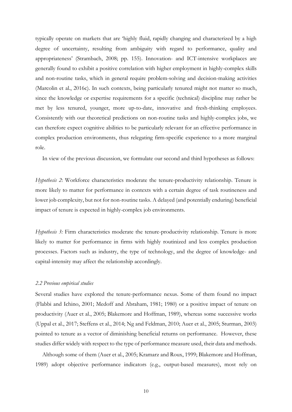typically operate on markets that are 'highly fluid, rapidly changing and characterized by a high degree of uncertainty, resulting from ambiguity with regard to performance, quality and appropriateness' (Strambach, 2008; pp. 155). Innovation- and ICT-intensive workplaces are generally found to exhibit a positive correlation with higher employment in highly-complex skills and non-routine tasks, which in general require problem-solving and decision-making activities (Marcolin et al., 2016c). In such contexts, being particularly tenured might not matter so much, since the knowledge or expertise requirements for a specific (technical) discipline may rather be met by less tenured, younger, more up-to-date, innovative and fresh-thinking employees. Consistently with our theoretical predictions on non-routine tasks and highly-complex jobs, we can therefore expect cognitive abilities to be particularly relevant for an effective performance in complex production environments, thus relegating firm-specific experience to a more marginal role.

In view of the previous discussion, we formulate our second and third hypotheses as follows:

*Hypothesis 2*: Workforce characteristics moderate the tenure-productivity relationship. Tenure is more likely to matter for performance in contexts with a certain degree of task routineness and lower job complexity, but not for non-routine tasks. A delayed (and potentially enduring) beneficial impact of tenure is expected in highly-complex job environments.

*Hypothesis 3:* Firm characteristics moderate the tenure-productivity relationship. Tenure is more likely to matter for performance in firms with highly routinized and less complex production processes. Factors such as industry, the type of technology, and the degree of knowledge- and capital-intensity may affect the relationship accordingly.

#### *2.2 Previous empirical studies*

Several studies have explored the tenure-performance nexus. Some of them found no impact (Flabbi and Ichino, 2001; Medoff and Abraham, 1981; 1980) or a positive impact of tenure on productivity (Auer et al., 2005; Blakemore and Hoffman, 1989), whereas some successive works (Uppal et al., 2017; Steffens et al., 2014; Ng and Feldman, 2010; Auer et al., 2005; Sturman, 2003) pointed to tenure as a vector of diminishing beneficial returns on performance. However, these studies differ widely with respect to the type of performance measure used, their data and methods.

Although some of them (Auer et al., 2005; Kramarz and Roux, 1999; Blakemore and Hoffman, 1989) adopt objective performance indicators (e.g., output-based measures), most rely on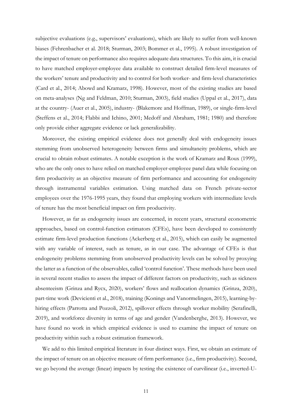subjective evaluations (e.g., supervisors' evaluations), which are likely to suffer from well-known biases (Fehrenbacher et al. 2018; Sturman, 2003; Bommer et al., 1995). A robust investigation of the impact of tenure on performance also requires adequate data structures. To this aim, it is crucial to have matched employer-employee data available to construct detailed firm-level measures of the workers' tenure and productivity and to control for both worker- and firm-level characteristics (Card et al., 2014; Abowd and Kramarz, 1998). However, most of the existing studies are based on meta-analyses (Ng and Feldman, 2010; Sturman, 2003), field studies (Uppal et al., 2017), data at the country- (Auer et al., 2005), industry- (Blakemore and Hoffman, 1989), or single-firm-level (Steffens et al., 2014; Flabbi and Ichino, 2001; Medoff and Abraham, 1981; 1980) and therefore only provide either aggregate evidence or lack generalizability.

Moreover, the existing empirical evidence does not generally deal with endogeneity issues stemming from unobserved heterogeneity between firms and simultaneity problems, which are crucial to obtain robust estimates. A notable exception is the work of Kramarz and Roux (1999), who are the only ones to have relied on matched employer-employee panel data while focusing on firm productivity as an objective measure of firm performance and accounting for endogeneity through instrumental variables estimation. Using matched data on French private-sector employees over the 1976-1995 years, they found that employing workers with intermediate levels of tenure has the most beneficial impact on firm productivity.

However, as far as endogeneity issues are concerned, in recent years, structural econometric approaches, based on control-function estimators (CFEs), have been developed to consistently estimate firm-level production functions (Ackerberg et al., 2015), which can easily be augmented with any variable of interest, such as tenure, as in our case. The advantage of CFEs is that endogeneity problems stemming from unobserved productivity levels can be solved by proxying the latter as a function of the observables, called 'control function'. These methods have been used in several recent studies to assess the impact of different factors on productivity, such as sickness absenteeism (Grinza and Rycx, 2020), workers' flows and reallocation dynamics (Grinza, 2020), part-time work (Devicienti et al., 2018), training (Konings and Vanormelingen, 2015), learning-byhiring effects (Parrotta and Pozzoli, 2012), spillover effects through worker mobility (Serafinelli, 2019), and workforce diversity in terms of age and gender (Vandenberghe, 2013). However, we have found no work in which empirical evidence is used to examine the impact of tenure on productivity within such a robust estimation framework.

We add to this limited empirical literature in four distinct ways. First, we obtain an estimate of the impact of tenure on an objective measure of firm performance (i.e., firm productivity). Second, we go beyond the average (linear) impacts by testing the existence of curvilinear (i.e., inverted-U-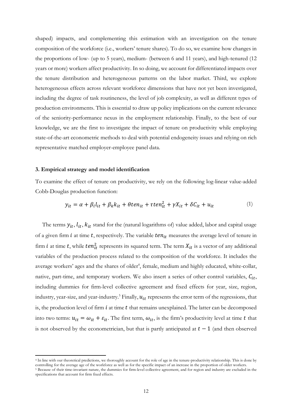shaped) impacts, and complementing this estimation with an investigation on the tenure composition of the workforce (i.e., workers' tenure shares). To do so, we examine how changes in the proportions of low- (up to 5 years), medium- (between 6 and 11 years), and high-tenured (12 years or more) workers affect productivity. In so doing, we account for differentiated impacts over the tenure distribution and heterogeneous patterns on the labor market. Third, we explore heterogeneous effects across relevant workforce dimensions that have not yet been investigated, including the degree of task routineness, the level of job complexity, as well as different types of production environments. This is essential to draw up policy implications on the current relevance of the seniority-performance nexus in the employment relationship. Finally, to the best of our knowledge, we are the first to investigate the impact of tenure on productivity while employing state-of-the-art econometric methods to deal with potential endogeneity issues and relying on rich representative matched employer-employee panel data.

#### **3. Empirical strategy and model identification**

To examine the effect of tenure on productivity, we rely on the following log-linear value-added Cobb-Douglas production function:

$$
y_{it} = \alpha + \beta_l l_{it} + \beta_k k_{it} + \theta t e n_{it} + \tau t e n_{it}^2 + \gamma X_{it} + \delta C_{it} + u_{it}
$$
 (1)

The terms  $y_{it}$ ,  $l_{it}$ ,  $k_{it}$  stand for the (natural logarithms of) value added, labor and capital usage of a given firm  $i$  at time  $t$ , respectively. The variable  $ten_{it}$  measures the average level of tenure in firm *i* at time *t*, while  $ten_{it}^2$  represents its squared term. The term  $X_{it}$  is a vector of any additional variables of the production process related to the composition of the workforce. It includes the average workers' ages and the shares of older<sup>4</sup>, female, medium and highly educated, white-collar, native, part-time, and temporary workers. We also insert a series of other control variables,  $C_{it}$ , including dummies for firm-level collective agreement and fixed effects for year, size, region, industry, year-size, and year-industry.<sup>5</sup> Finally,  $u_{it}$  represents the error term of the regressions, that is, the production level of firm  $i$  at time  $t$  that remains unexplained. The latter can be decomposed into two terms:  $u_{it} = \omega_{it} + \varepsilon_{it}$ . The first term,  $\omega_{it}$ , is the firm's productivity level at time t that is not observed by the econometrician, but that is partly anticipated at  $t - 1$  (and then observed

<sup>4</sup> In line with our theoretical predictions, we thoroughly account for the role of age in the tenure-productivity relationship. This is done by controlling for the average age of the workforce as well as for the specific impact of an increase in the proportion of older workers.

<sup>&</sup>lt;sup>5</sup> Because of their time-invariant nature, the dummies for firm-level collective agreement, and for region and industry are excluded in the specifications that account for firm fixed effects.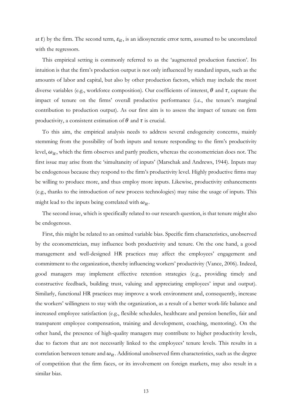at t) by the firm. The second term,  $\varepsilon_{it}$ , is an idiosyncratic error term, assumed to be uncorrelated with the regressors.

This empirical setting is commonly referred to as the 'augmented production function'. Its intuition is that the firm's production output is not only influenced by standard inputs, such as the amounts of labor and capital, but also by other production factors, which may include the most diverse variables (e.g., workforce composition). Our coefficients of interest,  $\theta$  and  $\tau$ , capture the impact of tenure on the firms' overall productive performance (i.e., the tenure's marginal contribution to production output). As our first aim is to assess the impact of tenure on firm productivity, a consistent estimation of  $\theta$  and  $\tau$  is crucial.

To this aim, the empirical analysis needs to address several endogeneity concerns, mainly stemming from the possibility of both inputs and tenure responding to the firm's productivity level,  $\omega_{it}$ , which the firm observes and partly predicts, whereas the econometrician does not. The first issue may arise from the 'simultaneity of inputs' (Marschak and Andrews, 1944). Inputs may be endogenous because they respond to the firm's productivity level. Highly productive firms may be willing to produce more, and thus employ more inputs. Likewise, productivity enhancements (e.g., thanks to the introduction of new process technologies) may raise the usage of inputs. This might lead to the inputs being correlated with  $\omega_{it}$ .

The second issue, which is specifically related to our research question, is that tenure might also be endogenous.

First, this might be related to an omitted variable bias. Specific firm characteristics, unobserved by the econometrician, may influence both productivity and tenure. On the one hand, a good management and well-designed HR practices may affect the employees' engagement and commitment to the organization, thereby influencing workers' productivity (Vance, 2006). Indeed, good managers may implement effective retention strategies (e.g., providing timely and constructive feedback, building trust, valuing and appreciating employees' input and output). Similarly, functional HR practices may improve a work environment and, consequently, increase the workers' willingness to stay with the organization, as a result of a better work-life balance and increased employee satisfaction (e.g., flexible schedules, healthcare and pension benefits, fair and transparent employee compensation, training and development, coaching, mentoring). On the other hand, the presence of high-quality managers may contribute to higher productivity levels, due to factors that are not necessarily linked to the employees' tenure levels. This results in a correlation between tenure and  $\omega_{it}$ . Additional unobserved firm characteristics, such as the degree of competition that the firm faces, or its involvement on foreign markets, may also result in a similar bias.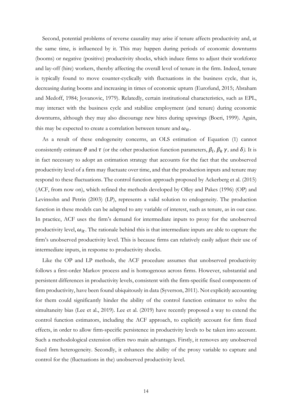Second, potential problems of reverse causality may arise if tenure affects productivity and, at the same time, is influenced by it. This may happen during periods of economic downturns (booms) or negative (positive) productivity shocks, which induce firms to adjust their workforce and lay-off (hire) workers, thereby affecting the overall level of tenure in the firm. Indeed, tenure is typically found to move counter-cyclically with fluctuations in the business cycle, that is, decreasing during booms and increasing in times of economic upturn (Eurofund, 2015; Abraham and Medoff, 1984; Jovanovic, 1979). Relatedly, certain institutional characteristics, such as EPL, may interact with the business cycle and stabilize employment (and tenure) during economic downturns, although they may also discourage new hires during upswings (Boeri, 1999). Again, this may be expected to create a correlation between tenure and  $\omega_{it}$ .

As a result of these endogeneity concerns, an OLS estimation of Equation (1) cannot consistently estimate  $\theta$  and  $\tau$  (or the other production function parameters,  $\beta_l$ ,  $\beta_k$   $\gamma$ , and  $\delta$ ). It is in fact necessary to adopt an estimation strategy that accounts for the fact that the unobserved productivity level of a firm may fluctuate over time, and that the production inputs and tenure may respond to these fluctuations. The control function approach proposed by Ackerberg et al. (2015) (ACF, from now on), which refined the methods developed by Olley and Pakes (1996) (OP) and Levinsohn and Petrin (2003) (LP), represents a valid solution to endogeneity. The production function in these models can be adapted to any variable of interest, such as tenure, as in our case. In practice, ACF uses the firm's demand for intermediate inputs to proxy for the unobserved productivity level,  $\omega_{it}$ . The rationale behind this is that intermediate inputs are able to capture the firm's unobserved productivity level. This is because firms can relatively easily adjust their use of intermediate inputs, in response to productivity shocks.

Like the OP and LP methods, the ACF procedure assumes that unobserved productivity follows a first-order Markov process and is homogenous across firms. However, substantial and persistent differences in productivity levels, consistent with the firm-specific fixed components of firm productivity, have been found ubiquitously in data (Syverson, 2011). Not explicitly accounting for them could significantly hinder the ability of the control function estimator to solve the simultaneity bias (Lee et al., 2019). Lee et al. (2019) have recently proposed a way to extend the control function estimators, including the ACF approach, to explicitly account for firm fixed effects, in order to allow firm-specific persistence in productivity levels to be taken into account. Such a methodological extension offers two main advantages. Firstly, it removes any unobserved fixed firm heterogeneity. Secondly, it enhances the ability of the proxy variable to capture and control for the (fluctuations in the) unobserved productivity level.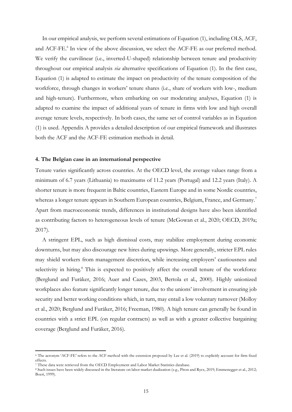In our empirical analysis, we perform several estimations of Equation (1), including OLS, ACF, and ACF-FE.<sup>6</sup> In view of the above discussion, we select the ACF-FE as our preferred method. We verify the curvilinear (i.e., inverted-U-shaped) relationship between tenure and productivity throughout our empirical analysis *via* alternative specifications of Equation (1). In the first case, Equation (1) is adapted to estimate the impact on productivity of the tenure composition of the workforce, through changes in workers' tenure shares (i.e., share of workers with low-, medium and high-tenure). Furthermore, when embarking on our moderating analyses, Equation (1) is adapted to examine the impact of additional years of tenure in firms with low and high overall average tenure levels, respectively. In both cases, the same set of control variables as in Equation (1) is used. Appendix A provides a detailed description of our empirical framework and illustrates both the ACF and the ACF-FE estimation methods in detail.

#### **4. The Belgian case in an international perspective**

Tenure varies significantly across countries. At the OECD level, the average values range from a minimum of 6.7 years (Lithuania) to maximums of 11.2 years (Portugal) and 12.2 years (Italy). A shorter tenure is more frequent in Baltic countries, Eastern Europe and in some Nordic countries, whereas a longer tenure appears in Southern European countries, Belgium, France, and Germany.<sup>7</sup> Apart from macroeconomic trends, differences in institutional designs have also been identified as contributing factors to heterogeneous levels of tenure (McGowan et al., 2020; OECD, 2019a; 2017).

A stringent EPL, such as high dismissal costs, may stabilize employment during economic downturns, but may also discourage new hires during upswings. More generally, stricter EPL rules may shield workers from management discretion, while increasing employers' cautiousness and selectivity in hiring.<sup>8</sup> This is expected to positively affect the overall tenure of the workforce (Berglund and Furåker, 2016; Auer and Cazes, 2003, Bertola et al., 2000). Highly unionized workplaces also feature significantly longer tenure, due to the unions' involvement in ensuring job security and better working conditions which, in turn, may entail a low voluntary turnover (Molloy et al., 2020; Berglund and Furåker, 2016; Freeman, 1980). A high tenure can generally be found in countries with a strict EPL (on regular contracts) as well as with a greater collective bargaining coverage (Berglund and Furåker, 2016).

<sup>6</sup> The acronym 'ACF-FE' refers to the ACF method with the extension proposed by Lee et al. (2019) to explicitly account for firm fixed effects.

<sup>7</sup> These data were retrieved from the OECD Employment and Labor Market Statistics database.

<sup>&</sup>lt;sup>8</sup> Such issues have been widely discussed in the literature on labor market dualization (e.g., Piton and Rycx, 2019; Emmenegger et al., 2012; Boeri, 1999).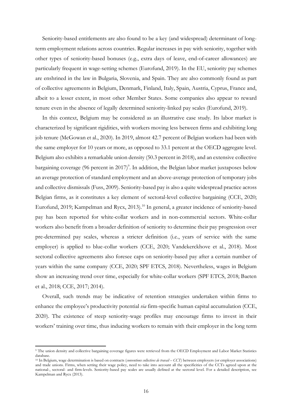Seniority-based entitlements are also found to be a key (and widespread) determinant of longterm employment relations across countries. Regular increases in pay with seniority, together with other types of seniority-based bonuses (e.g., extra days of leave, end-of-career allowances) are particularly frequent in wage-setting schemes (Eurofund, 2019). In the EU, seniority pay schemes are enshrined in the law in Bulgaria, Slovenia, and Spain. They are also commonly found as part of collective agreements in Belgium, Denmark, Finland, Italy, Spain, Austria, Cyprus, France and, albeit to a lesser extent, in most other Member States. Some companies also appear to reward tenure even in the absence of legally determined seniority-linked pay scales (Eurofund, 2019).

In this context, Belgium may be considered as an illustrative case study. Its labor market is characterized by significant rigidities, with workers moving less between firms and exhibiting long job tenure (McGowan et al., 2020). In 2019, almost 42.7 percent of Belgian workers had been with the same employer for 10 years or more, as opposed to 33.1 percent at the OECD aggregate level. Belgium also exhibits a remarkable union density (50.3 percent in 2018), and an extensive collective bargaining coverage (96 percent in 2017)<sup>9</sup>. In addition, the Belgian labor market juxtaposes below an average protection of standard employment and an above-average protection of temporary jobs and collective dismissals (Fuss, 2009). Seniority-based pay is also a quite widespread practice across Belgian firms, as it constitutes a key element of sectoral-level collective bargaining (CCE, 2020; Eurofund, 2019; Kampelman and Rycx, 2013).<sup>10</sup> In general, a greater incidence of seniority-based pay has been reported for white-collar workers and in non-commercial sectors. White-collar workers also benefit from a broader definition of seniority to determine their pay progression over pre-determined pay scales, whereas a stricter definition (i.e., years of service with the same employer) is applied to blue-collar workers (CCE, 2020; Vandekerckhove et al., 2018). Most sectoral collective agreements also foresee caps on seniority-based pay after a certain number of years within the same company (CCE, 2020; SPF ETCS, 2018). Nevertheless, wages in Belgium show an increasing trend over time, especially for white-collar workers (SPF ETCS, 2018; Baeten et al., 2018; CCE, 2017; 2014).

Overall, such trends may be indicative of retention strategies undertaken within firms to enhance the employee's productivity potential *via* firm-specific human capital accumulation (CCE, 2020). The existence of steep seniority-wage profiles may encourage firms to invest in their workers' training over time, thus inducing workers to remain with their employer in the long term

<sup>&</sup>lt;sup>9</sup> The union density and collective bargaining coverage figures were retrieved from the OECD Employment and Labor Market Statistics database.

<sup>10</sup> In Belgium, wage determination is based on contracts (*conventions collectives de travail – CCT*) between employers (or employer associations) and trade unions. Firms, when setting their wage policy, need to take into account all the specificities of the CCTs agreed upon at the national-, sectoral- and firm-levels. Seniority-based pay scales are usually defined at the sectoral level. For a detailed description, see Kampelman and Rycx (2013).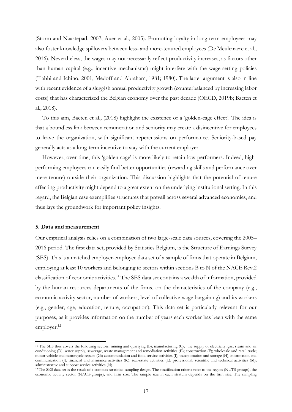(Storm and Naastepad, 2007; Auer et al., 2005). Promoting loyalty in long-term employees may also foster knowledge spillovers between less- and more-tenured employees (De Meulenaere et al., 2016). Nevertheless, the wages may not necessarily reflect productivity increases, as factors other than human capital (e.g., incentive mechanisms) might interfere with the wage-setting policies (Flabbi and Ichino, 2001; Medoff and Abraham, 1981; 1980). The latter argument is also in line with recent evidence of a sluggish annual productivity growth (counterbalanced by increasing labor costs) that has characterized the Belgian economy over the past decade (OECD, 2019b; Baeten et al., 2018).

To this aim, Baeten et al., (2018) highlight the existence of a 'golden-cage effect'. The idea is that a boundless link between remuneration and seniority may create a disincentive for employees to leave the organization, with significant repercussions on performance. Seniority-based pay generally acts as a long-term incentive to stay with the current employer.

However, over time, this 'golden cage' is more likely to retain low performers. Indeed, highperforming employees can easily find better opportunities (rewarding skills and performance over mere tenure) outside their organization. This discussion highlights that the potential of tenure affecting productivity might depend to a great extent on the underlying institutional setting. In this regard, the Belgian case exemplifies structures that prevail across several advanced economies, and thus lays the groundwork for important policy insights.

#### **5. Data and measurement**

Our empirical analysis relies on a combination of two large-scale data sources, covering the 2005– 2016 period. The first data set, provided by Statistics Belgium, is the Structure of Earnings Survey (SES). This is a matched employer-employee data set of a sample of firms that operate in Belgium, employing at least 10 workers and belonging to sectors within sections B to N of the NACE Rev.2 classification of economic activities.11 The SES data set contains a wealth of information, provided by the human resources departments of the firms, on the characteristics of the company (e.g., economic activity sector, number of workers, level of collective wage bargaining) and its workers (e.g., gender, age, education, tenure, occupation). This data set is particularly relevant for our purposes, as it provides information on the number of years each worker has been with the same employer.<sup>12</sup>

<sup>11</sup> The SES thus covers the following sectors: mining and quarrying (B); manufacturing (C); the supply of electricity, gas, steam and air conditioning (D); water supply, sewerage, waste management and remediation activities (E); construction (F); wholesale and retail trade; motor vehicle and motorcycle repairs (G); accommodation and food service activities (I); transportation and storage (H); information and communication (J); financial and insurance activities (K); real-estate activities (L); professional, scientific and technical activities (M); administrative and support service activities (N).

<sup>&</sup>lt;sup>12</sup> The SES data set is the result of a complex stratified sampling design. The stratification criteria refer to the region (NUTS-groups), the economic activity sector (NACE-groups), and firm size. The sample size in each stratum depends on the firm size. The sampling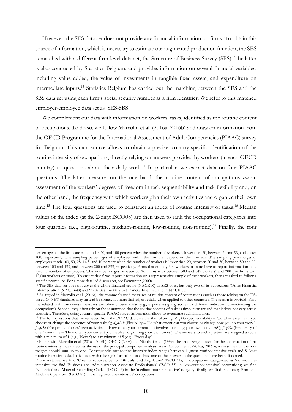However. the SES data set does not provide any financial information on firms. To obtain this source of information, which is necessary to estimate our augmented production function, the SES is matched with a different firm-level data set, the Structure of Business Survey (SBS). The latter is also conducted by Statistics Belgium, and provides information on several financial variables, including value added, the value of investments in tangible fixed assets, and expenditure on intermediate inputs.13 Statistics Belgium has carried out the matching between the SES and the SBS data set using each firm's social security number as a firm identifier. We refer to this matched employer-employee data set as 'SES-SBS'.

We complement our data with information on workers' tasks, identified as the routine content of occupations. To do so, we follow Marcolin et al. (2016a; 2016b) and draw on information from the OECD Programme for the International Assessment of Adult Competencies (PIAAC) survey for Belgium. This data source allows to obtain a precise, country-specific identification of the routine intensity of occupations, directly relying on answers provided by workers (in each OECD country) to questions about their daily work.<sup>14</sup> In particular, we extract data on four PIAAC questions. The latter measure, on the one hand, the routine content of occupations *via* an assessment of the workers' degrees of freedom in task sequentiability and task flexibility and, on the other hand, the frequency with which workers plan their own activities and organize their own time.<sup>15</sup> The four questions are used to construct an index of routine intensity of tasks.<sup>16</sup> Median values of the index (at the 2-digit ISCO08) are then used to rank the occupational categories into four quartiles (i.e., high-routine, medium-routine, low-routine, non-routine).17 Finally, the four

percentages of the firms are equal to 10, 50, and 100 percent when the number of workers is lower than 50, between 50 and 99, and above 100, respectively. The sampling percentages of employees within the firm also depend on the firm size. The sampling percentages of employees reach 100, 50, 25, 14.3, and 10 percent when the number of workers is lower than 20, between 20 and 50, between 50 and 99, between 100 and 199, and between 200 and 299, respectively. Firms that employ 300 workers or more have to report information on a specific number of employees. This number ranges between 30 (for firms with between 300 and 349 workers) and 200 (for firms with 12,000 workers or more). To ensure that firms report information on a representative sample of their workers, they are asked to follow a specific procedure. For a more detailed discussion, see Demunter (2000).

<sup>&</sup>lt;sup>13</sup> The SBS data set does not cover the whole financial sector (NACE K) as SES does, but only two of its subsectors: 'Other Financial Intermediation (NACE 649) and 'Activities Auxiliary to Financial Intermediation' (NACE 66).

<sup>14</sup> As argued in Marcolin et al. (2016a), the commonly used measures of routine content of occupations (such as those relying on the USbased  $O^*NET$  database) may instead be somewhat more limited, especially when applied to other countries. The reason is twofold. First, the related task routineness measures are often chosen *ad-hoc* (e.g., experts assigning scores to different indicators characterizing the occupations). Second, they often rely on the assumption that the routine content of tasks is time-invariant and that it does not vary across countries. Therefore, using country-specific PIAAC survey information allows to overcome such limitations.

<sup>&</sup>lt;sup>15</sup> The four questions that we retrieved from the PIAAC database are the following: *d\_q11a* (Sequentiability – 'To what extent can you choose or change the sequence of your tasks?'); *d\_q11b* (Flexibility – 'To what extent can you choose or change how you do your work'); *f\_q03a* (Frequency of ones' own activities – 'How often your current job involves planning your own activities?'); *f\_q03c* (Frequency of ones' own time – 'How often your current job involves organising your own time?'). The answers to each question are assigned a score with a minimum of 1 (e.g., 'Never') to a maximum of 5 (e.g., 'Every day').

<sup>16</sup> In line with Marcolin et al. (2016a, 2016b), OECD (2008) and Nicoletti et al. (1999), the set of weights used for the construction of the routine intensity index involves the use of the principal component analysis. As in Marcolin et al. (2016a, 2016b), we assume that the four weights should sum up to one. Consequently, our routine intensity index ranges between 1 (most routine-intensive task) and 5 (least routine-intensive task). Individuals with missing information on at least one of the answers to the questions have been discarded.

<sup>&</sup>lt;sup>17</sup> For instance, we find 'Chief Executives, Senior Officials, and Legislators' (ISCO 11); in occupations categorized as 'non-routineintensive' we find 'Business and Administration Associate Professionals' (ISCO 33) in 'low-routine-intensive' occupations; we find 'Numerical and Material Recording Clerks' (ISCO 43) in the 'medium-routine-intensive' category; finally, we find 'Stationary Plant and Machine Operators' (ISCO 81) in the 'high-routine-intensive' occupations.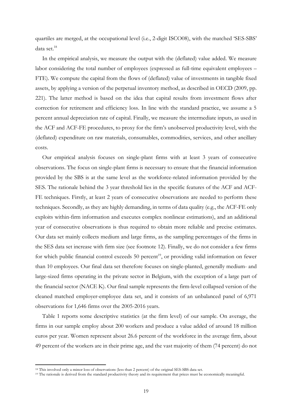quartiles are merged, at the occupational level (i.e., 2-digit ISCO08), with the matched 'SES-SBS' data set.<sup>18</sup>

In the empirical analysis, we measure the output with the (deflated) value added. We measure labor considering the total number of employees (expressed as full-time equivalent employees – FTE). We compute the capital from the flows of (deflated) value of investments in tangible fixed assets, by applying a version of the perpetual inventory method, as described in OECD (2009, pp. 221). The latter method is based on the idea that capital results from investment flows after correction for retirement and efficiency loss. In line with the standard practice, we assume a 5 percent annual depreciation rate of capital. Finally, we measure the intermediate inputs, as used in the ACF and ACF-FE procedures, to proxy for the firm's unobserved productivity level, with the (deflated) expenditure on raw materials, consumables, commodities, services, and other ancillary costs.

Our empirical analysis focuses on single-plant firms with at least 3 years of consecutive observations. The focus on single-plant firms is necessary to ensure that the financial information provided by the SBS is at the same level as the workforce-related information provided by the SES. The rationale behind the 3 year threshold lies in the specific features of the ACF and ACF-FE techniques. Firstly, at least 2 years of consecutive observations are needed to perform these techniques. Secondly, as they are highly demanding, in terms of data quality (e.g., the ACF-FE only exploits within-firm information and executes complex nonlinear estimations), and an additional year of consecutive observations is thus required to obtain more reliable and precise estimates. Our data set mainly collects medium and large firms, as the sampling percentages of the firms in the SES data set increase with firm size (see footnote 12). Finally, we do not consider a few firms for which public financial control exceeds 50 percent<sup>19</sup>, or providing valid information on fewer than 10 employees. Our final data set therefore focuses on single-planted, generally medium- and large-sized firms operating in the private sector in Belgium, with the exception of a large part of the financial sector (NACE K). Our final sample represents the firm-level collapsed version of the cleaned matched employer-employee data set, and it consists of an unbalanced panel of 6,971 observations for 1,646 firms over the 2005-2016 years.

Table 1 reports some descriptive statistics (at the firm level) of our sample. On average, the firms in our sample employ about 200 workers and produce a value added of around 18 million euros per year. Women represent about 26.6 percent of the workforce in the average firm, about 49 percent of the workers are in their prime age, and the vast majority of them (74 percent) do not

<sup>18</sup> This involved only a minor loss of observations (less than 2 percent) of the original SES-SBS data set.

<sup>&</sup>lt;sup>19</sup> The rationale is derived from the standard productivity theory and its requirement that prices must be economically meaningful.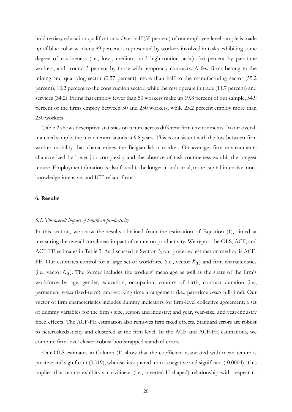hold tertiary education qualifications. Over half (55 percent) of our employee-level sample is made up of blue-collar workers; 89 percent is represented by workers involved in tasks exhibiting some degree of routineness (i.e., low-, medium- and high-routine tasks), 5.6 percent by part-time workers, and around 3 percent by those with temporary contracts. A few firms belong to the mining and quarrying sector (0.27 percent), more than half to the manufacturing sector (55.2 percent), 10.2 percent to the construction sector, while the rest operate in trade (11.7 percent) and services (34.2). Firms that employ fewer than 50 workers make up 19.8 percent of our sample, 54.9 percent of the firms employ between 50 and 250 workers, while 25.2 percent employ more than 250 workers.

Table 2 shows descriptive statistics on tenure across different firm environments. In our overall matched sample, the mean tenure stands at 9.8 years. This is consistent with the low between-firm worker mobility that characterizes the Belgian labor market. On average, firm environments characterized by lower job complexity and the absence of task routineness exhibit the longest tenure. Employment duration is also found to be longer in industrial, more capital-intensive, nonknowledge-intensive, and ICT-reliant firms.

#### **6. Results**

#### *6.1. The overall impact of tenure on productivity*

In this section, we show the results obtained from the estimation of Equation (1), aimed at measuring the overall curvilinear impact of tenure on productivity. We report the OLS, ACF, and ACF-FE estimates in Table 3. As discussed in Section 3, our preferred estimation method is ACF-FE. Our estimates control for a large set of workforce (i.e., vector  $X_{it}$ ) and firm characteristics (i.e., vector  $C_{it}$ ). The former includes the workers' mean age as well as the share of the firm's workforce by age, gender, education, occupation, country of birth, contract duration (i.e., permanent *versus* fixed-term), and working time arrangement (i.e., part-time *versus* full-time). Our vector of firm characteristics includes dummy indicators for firm-level collective agreement; a set of dummy variables for the firm's size, region and industry; and year, year-size, and year-industry fixed effects. The ACF-FE estimation also removes firm fixed effects. Standard errors are robust to heteroskedasticity and clustered at the firm level. In the ACF and ACF-FE estimations, we compute firm-level cluster-robust bootstrapped standard errors.

Our OLS estimates in Column (1) show that the coefficient associated with mean tenure is positive and significant (0.019), whereas its squared term is negative and significant (-0.0004). This implies that tenure exhibits a curvilinear (i.e., inverted-U-shaped) relationship with respect to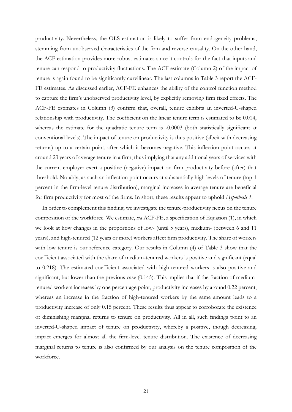productivity. Nevertheless, the OLS estimation is likely to suffer from endogeneity problems, stemming from unobserved characteristics of the firm and reverse causality. On the other hand, the ACF estimation provides more robust estimates since it controls for the fact that inputs and tenure can respond to productivity fluctuations. The ACF estimate (Column 2) of the impact of tenure is again found to be significantly curvilinear. The last columns in Table 3 report the ACF-FE estimates. As discussed earlier, ACF-FE enhances the ability of the control function method to capture the firm's unobserved productivity level, by explicitly removing firm fixed effects. The ACF-FE estimates in Column (3) confirm that, overall, tenure exhibits an inverted-U-shaped relationship with productivity. The coefficient on the linear tenure term is estimated to be 0.014, whereas the estimate for the quadratic tenure term is -0.0003 (both statistically significant at conventional levels). The impact of tenure on productivity is thus positive (albeit with decreasing returns) up to a certain point, after which it becomes negative. This inflection point occurs at around 23 years of average tenure in a firm, thus implying that any additional years of services with the current employer exert a positive (negative) impact on firm productivity before (after) that threshold. Notably, as such an inflection point occurs at substantially high levels of tenure (top 1 percent in the firm-level tenure distribution), marginal increases in average tenure are beneficial for firm productivity for most of the firms. In short, these results appear to uphold *Hypothesis 1*.

In order to complement this finding, we investigate the tenure-productivity nexus on the tenure composition of the workforce. We estimate, *via* ACF-FE, a specification of Equation (1), in which we look at how changes in the proportions of low- (until 5 years), medium- (between 6 and 11 years), and high-tenured (12 years or more) workers affect firm productivity. The share of workers with low tenure is our reference category. Our results in Column (4) of Table 3 show that the coefficient associated with the share of medium-tenured workers is positive and significant (equal to 0.218). The estimated coefficient associated with high-tenured workers is also positive and significant, but lower than the previous case (0.145). This implies that if the fraction of mediumtenured workers increases by one percentage point, productivity increases by around 0.22 percent, whereas an increase in the fraction of high-tenured workers by the same amount leads to a productivity increase of only 0.15 percent. These results thus appear to corroborate the existence of diminishing marginal returns to tenure on productivity. All in all, such findings point to an inverted-U-shaped impact of tenure on productivity, whereby a positive, though decreasing, impact emerges for almost all the firm-level tenure distribution. The existence of decreasing marginal returns to tenure is also confirmed by our analysis on the tenure composition of the workforce.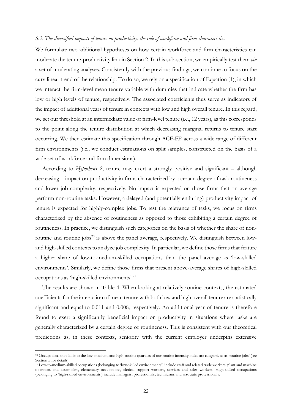#### *6.2. The diversified impacts of tenure on productivity: the role of workforce and firm characteristics*

We formulate two additional hypotheses on how certain workforce and firm characteristics can moderate the tenure-productivity link in Section 2. In this sub-section, we empirically test them *via* a set of moderating analyses. Consistently with the previous findings, we continue to focus on the curvilinear trend of the relationship. To do so, we rely on a specification of Equation (1), in which we interact the firm-level mean tenure variable with dummies that indicate whether the firm has low or high levels of tenure, respectively. The associated coefficients thus serve as indicators of the impact of additional years of tenure in contexts with low and high overall tenure. In this regard, we set our threshold at an intermediate value of firm-level tenure (i.e., 12 years), as this corresponds to the point along the tenure distribution at which decreasing marginal returns to tenure start occurring. We then estimate this specification through ACF-FE across a wide range of different firm environments (i.e., we conduct estimations on split samples, constructed on the basis of a wide set of workforce and firm dimensions).

According to *Hypothesis 2*, tenure may exert a strongly positive and significant – although decreasing – impact on productivity in firms characterized by a certain degree of task routineness and lower job complexity, respectively. No impact is expected on those firms that on average perform non-routine tasks. However, a delayed (and potentially enduring) productivity impact of tenure is expected for highly-complex jobs. To test the relevance of tasks, we focus on firms characterized by the absence of routineness as opposed to those exhibiting a certain degree of routineness. In practice, we distinguish such categories on the basis of whether the share of nonroutine and routine jobs $^{20}$  is above the panel average, respectively. We distinguish between lowand high-skilled contexts to analyze job complexity. In particular, we define those firms that feature a higher share of low-to-medium-skilled occupations than the panel average as 'low-skilled environments'. Similarly, we define those firms that present above-average shares of high-skilled occupations as 'high-skilled environments'. 21

The results are shown in Table 4. When looking at relatively routine contexts, the estimated coefficients for the interaction of mean tenure with both low and high overall tenure are statistically significant and equal to 0.011 and 0.008, respectively. An additional year of tenure is therefore found to exert a significantly beneficial impact on productivity in situations where tasks are generally characterized by a certain degree of routineness. This is consistent with our theoretical predictions as, in these contexts, seniority with the current employer underpins extensive

<sup>20</sup> Occupations that fall into the low, medium, and high-routine quartiles of our routine intensity index are categorized as 'routine jobs' (see Section 5 for details).

<sup>21</sup> Low-to-medium-skilled occupations (belonging to 'low-skilled environments') include craft and related trade workers, plant and machine operators and assemblers, elementary occupations, clerical support workers, services and sales workers. High-skilled occupations (belonging to 'high-skilled environments') include managers, professionals, technicians and associate professionals.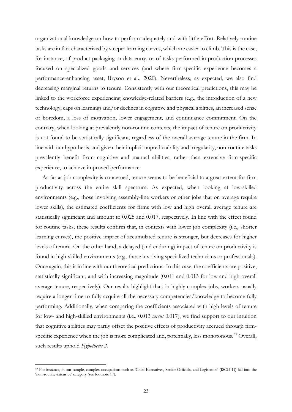organizational knowledge on how to perform adequately and with little effort. Relatively routine tasks are in fact characterized by steeper learning curves, which are easier to climb. This is the case, for instance, of product packaging or data entry, or of tasks performed in production processes focused on specialized goods and services (and where firm-specific experience becomes a performance-enhancing asset; Bryson et al., 2020). Nevertheless, as expected, we also find decreasing marginal returns to tenure. Consistently with our theoretical predictions, this may be linked to the workforce experiencing knowledge-related barriers (e.g., the introduction of a new technology, caps on learning) and/or declines in cognitive and physical abilities, an increased sense of boredom, a loss of motivation, lower engagement, and continuance commitment. On the contrary, when looking at prevalently non-routine contexts, the impact of tenure on productivity is not found to be statistically significant, regardless of the overall average tenure in the firm. In line with our hypothesis, and given their implicit unpredictability and irregularity, non-routine tasks prevalently benefit from cognitive and manual abilities, rather than extensive firm-specific experience, to achieve improved performance.

As far as job complexity is concerned, tenure seems to be beneficial to a great extent for firm productivity across the entire skill spectrum. As expected, when looking at low-skilled environments (e.g., those involving assembly-line workers or other jobs that on average require lower skills), the estimated coefficients for firms with low and high overall average tenure are statistically significant and amount to 0.025 and 0.017, respectively. In line with the effect found for routine tasks, these results confirm that, in contexts with lower job complexity (i.e., shorter learning curves), the positive impact of accumulated tenure is stronger, but decreases for higher levels of tenure. On the other hand, a delayed (and enduring) impact of tenure on productivity is found in high-skilled environments (e.g., those involving specialized technicians or professionals). Once again, this is in line with our theoretical predictions. In this case, the coefficients are positive, statistically significant, and with increasing magnitude (0.011 and 0.013 for low and high overall average tenure, respectively). Our results highlight that, in highly-complex jobs, workers usually require a longer time to fully acquire all the necessary competencies/knowledge to become fully performing. Additionally, when comparing the coefficients associated with high levels of tenure for low- and high-skilled environments (i.e., 0.013 *versus* 0.017), we find support to our intuition that cognitive abilities may partly offset the positive effects of productivity accrued through firmspecific experience when the job is more complicated and, potentially, less monotonous.<sup>22</sup> Overall, such results uphold *Hypothesis 2*.

<sup>22</sup> For instance, in our sample, complex occupations such as 'Chief Executives, Senior Officials, and Legislators' (ISCO 11) fall into the 'non-routine-intensive' category (see footnote 17).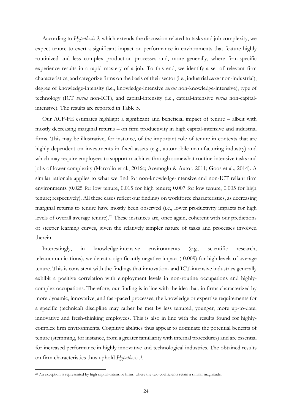According to *Hypothesis 3*, which extends the discussion related to tasks and job complexity, we expect tenure to exert a significant impact on performance in environments that feature highly routinized and less complex production processes and, more generally, where firm-specific experience results in a rapid mastery of a job. To this end, we identify a set of relevant firm characteristics, and categorize firms on the basis of their sector (i.e., industrial *versus* non-industrial), degree of knowledge-intensity (i.e., knowledge-intensive *versus* non-knowledge-intensive), type of technology (ICT *versus* non-ICT), and capital-intensity (i.e., capital-intensive *versus* non-capitalintensive). The results are reported in Table 5.

Our ACF-FE estimates highlight a significant and beneficial impact of tenure – albeit with mostly decreasing marginal returns – on firm productivity in high capital-intensive and industrial firms. This may be illustrative, for instance, of the important role of tenure in contexts that are highly dependent on investments in fixed assets (e.g., automobile manufacturing industry) and which may require employees to support machines through somewhat routine-intensive tasks and jobs of lower complexity (Marcolin et al., 2016c; Acemoglu & Autor, 2011; Goos et al., 2014). A similar rationale applies to what we find for non-knowledge-intensive and non-ICT reliant firm environments (0.025 for low tenure, 0.015 for high tenure; 0.007 for low tenure, 0.005 for high tenure; respectively). All these cases reflect our findings on workforce characteristics, as decreasing marginal returns to tenure have mostly been observed (i.e., lower productivity impacts for high levels of overall average tenure).<sup>23</sup> These instances are, once again, coherent with our predictions of steeper learning curves, given the relatively simpler nature of tasks and processes involved therein.

Interestingly, in knowledge-intensive environments (e.g., scientific research, telecommunications), we detect a significantly negative impact (-0.009) for high levels of average tenure. This is consistent with the findings that innovation- and ICT-intensive industries generally exhibit a positive correlation with employment levels in non-routine occupations and highlycomplex occupations. Therefore, our finding is in line with the idea that, in firms characterized by more dynamic, innovative, and fast-paced processes, the knowledge or expertise requirements for a specific (technical) discipline may rather be met by less tenured, younger, more up-to-date, innovative and fresh-thinking employees. This is also in line with the results found for highlycomplex firm environments. Cognitive abilities thus appear to dominate the potential benefits of tenure (stemming, for instance, from a greater familiarity with internal procedures) and are essential for increased performance in highly innovative and technological industries. The obtained results on firm characteristics thus uphold *Hypothesis 3*.

<sup>23</sup> An exception is represented by high capital-intensive firms, where the two coefficients retain a similar magnitude.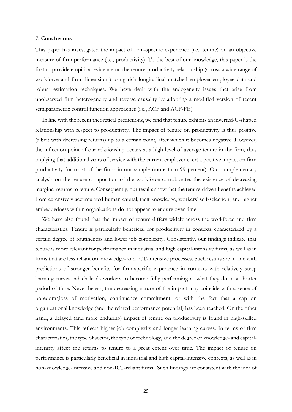#### **7. Conclusions**

This paper has investigated the impact of firm-specific experience (i.e., tenure) on an objective measure of firm performance (i.e., productivity). To the best of our knowledge, this paper is the first to provide empirical evidence on the tenure-productivity relationship (across a wide range of workforce and firm dimensions) using rich longitudinal matched employer-employee data and robust estimation techniques. We have dealt with the endogeneity issues that arise from unobserved firm heterogeneity and reverse causality by adopting a modified version of recent semiparametric control function approaches (i.e., ACF and ACF-FE).

In line with the recent theoretical predictions, we find that tenure exhibits an inverted-U-shaped relationship with respect to productivity. The impact of tenure on productivity is thus positive (albeit with decreasing returns) up to a certain point, after which it becomes negative. However, the inflection point of our relationship occurs at a high level of average tenure in the firm, thus implying that additional years of service with the current employer exert a positive impact on firm productivity for most of the firms in our sample (more than 99 percent). Our complementary analysis on the tenure composition of the workforce corroborates the existence of decreasing marginal returns to tenure. Consequently, our results show that the tenure-driven benefits achieved from extensively accumulated human capital, tacit knowledge, workers' self-selection, and higher embeddedness within organizations do not appear to endure over time.

We have also found that the impact of tenure differs widely across the workforce and firm characteristics. Tenure is particularly beneficial for productivity in contexts characterized by a certain degree of routineness and lower job complexity. Consistently, our findings indicate that tenure is more relevant for performance in industrial and high capital-intensive firms, as well as in firms that are less reliant on knowledge- and ICT-intensive processes. Such results are in line with predictions of stronger benefits for firm-specific experience in contexts with relatively steep learning curves, which leads workers to become fully performing at what they do in a shorter period of time. Nevertheless, the decreasing nature of the impact may coincide with a sense of boredom\loss of motivation, continuance commitment, or with the fact that a cap on organizational knowledge (and the related performance potential) has been reached. On the other hand, a delayed (and more enduring) impact of tenure on productivity is found in high-skilled environments. This reflects higher job complexity and longer learning curves. In terms of firm characteristics, the type of sector, the type of technology, and the degree of knowledge- and capitalintensity affect the returns to tenure to a great extent over time. The impact of tenure on performance is particularly beneficial in industrial and high capital-intensive contexts, as well as in non-knowledge-intensive and non-ICT-reliant firms. Such findings are consistent with the idea of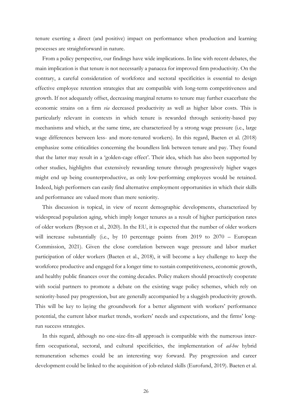tenure exerting a direct (and positive) impact on performance when production and learning processes are straightforward in nature.

From a policy perspective, our findings have wide implications. In line with recent debates, the main implication is that tenure is not necessarily a panacea for improved firm productivity. On the contrary, a careful consideration of workforce and sectoral specificities is essential to design effective employee retention strategies that are compatible with long-term competitiveness and growth. If not adequately offset, decreasing marginal returns to tenure may further exacerbate the economic strains on a firm *via* decreased productivity as well as higher labor costs. This is particularly relevant in contexts in which tenure is rewarded through seniority-based pay mechanisms and which, at the same time, are characterized by a strong wage pressure (i.e., large wage differences between less- and more-tenured workers). In this regard, Baeten et al. (2018) emphasize some criticalities concerning the boundless link between tenure and pay. They found that the latter may result in a 'golden-cage effect'. Their idea, which has also been supported by other studies, highlights that extensively rewarding tenure through progressively higher wages might end up being counterproductive, as only low-performing employees would be retained. Indeed, high performers can easily find alternative employment opportunities in which their skills and performance are valued more than mere seniority.

This discussion is topical, in view of recent demographic developments, characterized by widespread population aging, which imply longer tenures as a result of higher participation rates of older workers (Bryson et al., 2020). In the EU, it is expected that the number of older workers will increase substantially (i.e., by 10 percentage points from 2019 to 2070 – European Commission, 2021). Given the close correlation between wage pressure and labor market participation of older workers (Baeten et al., 2018), it will become a key challenge to keep the workforce productive and engaged for a longer time to sustain competitiveness, economic growth, and healthy public finances over the coming decades. Policy makers should proactively cooperate with social partners to promote a debate on the existing wage policy schemes, which rely on seniority-based pay progression, but are generally accompanied by a sluggish productivity growth. This will be key to laying the groundwork for a better alignment with workers' performance potential, the current labor market trends, workers' needs and expectations, and the firms' longrun success strategies.

In this regard, although no one-size-fits-all approach is compatible with the numerous interfirm occupational, sectoral, and cultural specificities, the implementation of *ad-hoc* hybrid remuneration schemes could be an interesting way forward. Pay progression and career development could be linked to the acquisition of job-related skills (Eurofund, 2019). Baeten et al.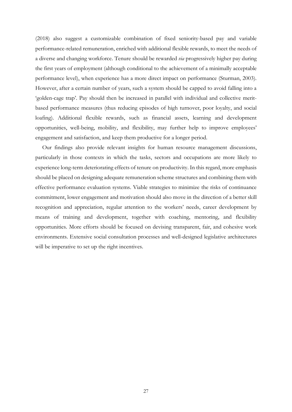(2018) also suggest a customizable combination of fixed seniority-based pay and variable performance-related remuneration, enriched with additional flexible rewards, to meet the needs of a diverse and changing workforce. Tenure should be rewarded *via* progressively higher pay during the first years of employment (although conditional to the achievement of a minimally acceptable performance level), when experience has a more direct impact on performance (Sturman, 2003). However, after a certain number of years, such a system should be capped to avoid falling into a 'golden-cage trap'*.* Pay should then be increased in parallel with individual and collective meritbased performance measures (thus reducing episodes of high turnover, poor loyalty, and social loafing). Additional flexible rewards, such as financial assets, learning and development opportunities, well-being, mobility, and flexibility, may further help to improve employees' engagement and satisfaction, and keep them productive for a longer period.

Our findings also provide relevant insights for human resource management discussions, particularly in those contexts in which the tasks, sectors and occupations are more likely to experience long-term deteriorating effects of tenure on productivity. In this regard, more emphasis should be placed on designing adequate remuneration scheme structures and combining them with effective performance evaluation systems. Viable strategies to minimize the risks of continuance commitment, lower engagement and motivation should also move in the direction of a better skill recognition and appreciation, regular attention to the workers' needs, career development by means of training and development, together with coaching, mentoring, and flexibility opportunities. More efforts should be focused on devising transparent, fair, and cohesive work environments. Extensive social consultation processes and well-designed legislative architectures will be imperative to set up the right incentives.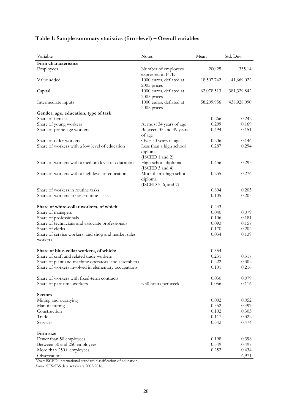| Variable                                                       | <b>Notes</b>                                               | Mean           | Std. Dev.      |
|----------------------------------------------------------------|------------------------------------------------------------|----------------|----------------|
| Firm characteristics                                           |                                                            |                |                |
| Employees                                                      | Number of employees                                        | 200.25         | 335.14         |
| Value added                                                    | expressed in FTE<br>1000 euros, deflated at<br>2005 prices | 18,507.742     | 41,669.022     |
| Capital                                                        | 1000 euros, deflated at<br>2005 prices                     | 62,078.513     | 381,329.842    |
| Intermediate inputs                                            | 1000 euros, deflated at<br>2005 prices                     | 58,209.956     | 438,928.090    |
| Gender, age, education, type of task<br>Share of females       |                                                            |                | 0.242          |
| Share of young workers                                         |                                                            | 0.266<br>0.299 | 0.169          |
| Share of prime-age workers                                     | At most 34 years of age<br>Between 35 and 49 years         | 0.494          | 0.151          |
|                                                                | of age                                                     |                |                |
| Share of older workers                                         | Over 50 years of age                                       | 0.206          | 0.146          |
| Share of workers with a low level of education                 | Less than a high school<br>diploma<br>(ISCED 1 and 2)      | 0.287          | 0.294          |
| Share of workers with a medium level of education              | High school diploma<br>(ISCED 3 and 4)                     | 0.456          | 0.295          |
| Share of workers with a high level of education                | More than a high school<br>diploma<br>(ISCED 5, 6, and 7)  | 0.255          | 0.276          |
| Share of workers in routine tasks                              |                                                            | 0.894          | 0.205          |
| Share of workers in non-routine tasks                          |                                                            | 0.105          | 0.205          |
| Share of white-collar workers, of which:                       |                                                            | 0.443          |                |
| Share of managers                                              |                                                            | 0.040          | 0.079          |
| Share of professionals                                         |                                                            | 0.106          | 0.181          |
| Share of technicians and associate professionals               |                                                            | 0.093          | 0.157          |
| Share of clerks                                                |                                                            | 0.170          | 0.202          |
| Share of service workers, and shop and market sales<br>workers |                                                            | 0.034          | 0.139          |
| Share of blue-collar workers, of which:                        |                                                            | 0.554          |                |
| Share of craft and related trade workers                       |                                                            | 0.231          | 0.317          |
| Share of plant and machine operators, and assemblers           |                                                            | 0.222          | 0.302          |
| Share of workers involved in elementary occupations            |                                                            | 0.101          | 0.216          |
| Share of workers with fixed-term contracts                     |                                                            | 0.030          | 0.079          |
| Share of part-time workers                                     | <30 hours per week                                         | 0.056          | 0.116          |
| <b>Sectors</b>                                                 |                                                            |                |                |
| Mining and quarrying                                           |                                                            | 0.002          | 0.052          |
| Manufacturing                                                  |                                                            | 0.552          | 0.497          |
| Construction                                                   |                                                            | 0.102          | 0.303          |
| Trade                                                          |                                                            | 0.117          | 0.322          |
| Services                                                       |                                                            | 0.342          | 0.474          |
| Firm size                                                      |                                                            |                |                |
| Fewer than 50 employees                                        |                                                            | 0.198          | 0.398          |
| Between 50 and 250 employees                                   |                                                            | 0.549<br>0.252 | 0.497          |
| More than 250+ employees<br><b>Observations</b>                |                                                            |                | 0.434<br>6.971 |

### **Table 1: Sample summary statistics (firm-level) – Overall variables**

*Notes:* ISCED, international standard classification of education.

*Source:* SES-SBS data set (years 2005-2016).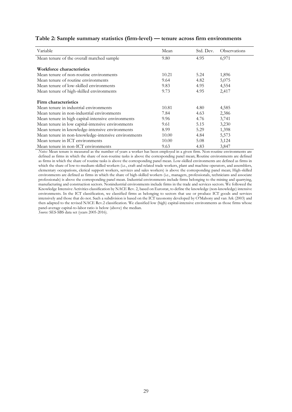| Variable                                            | Mean  | Std. Dev. | Observations |
|-----------------------------------------------------|-------|-----------|--------------|
| Mean tenure of the overall matched sample           | 9.80  | 4.95      | 6,971        |
|                                                     |       |           |              |
| Workforce characteristics                           |       |           |              |
| Mean tenure of non-routine environments             | 10.21 | 5.24      | 1,896        |
| Mean tenure of routine environments                 | 9.64  | 4.82      | 5,075        |
| Mean tenure of low-skilled environments             | 9.83  | 4.95      | 4,554        |
| Mean tenure of high-skilled environments            | 9.73  | 4.95      | 2,417        |
|                                                     |       |           |              |
| Firm characteristics                                |       |           |              |
| Mean tenure in industrial environments              | 10.81 | 4.80      | 4,585        |
| Mean tenure in non-industrial environments          | 7.84  | 4.63      | 2,386        |
| Mean tenure in high capital-intensive environments  | 9.96  | 4.76      | 3,741        |
| Mean tenure in low capital-intensive environments   | 9.61  | 5.15      | 3,230        |
| Mean tenure in knowledge-intensive environments     | 8.99  | 5.29      | 1,398        |
| Mean tenure in non-knowledge-intensive environments | 10.00 | 4.84      | 5,573        |
| Mean tenure in ICT environments                     | 10.00 | 5.08      | 3,124        |
| Mean tenure in non-ICT environments                 | 9.63  | 4.83      | 3,847        |

#### **Table 2: Sample summary statistics (firm-level) — tenure across firm environments**

*Notes:* Mean tenure is measured as the number of years a worker has been employed in a given firm. Non-routine environments are defined as firms in which the share of non-routine tasks is above the corresponding panel mean; Routine environments are defined as firms in which the share of routine tasks is above the corresponding panel mean. Low-skilled environments are defined as firms in which the share of low-to-medium-skilled workers (i.e., craft and related trade workers, plant and machine operators, and assemblers, elementary occupations, clerical support workers, services and sales workers) is above the corresponding panel mean; High-skilled environments are defined as firms in which the share of high-skilled workers (i.e., managers, professionals, technicians and associate professionals) is above the corresponding panel mean. Industrial environments include firms belonging to the mining and quarrying, manufacturing and construction sectors. Nonindustrial environments include firms in the trade and services sectors. We followed the Knowledge Intensive Activities classification by NACE Rev. 2, based on Eurostat, to define the knowledge (non-knowledge) intensive environments. In the ICT classification, we classified firms as belonging to sectors that use or produce ICT goods and services intensively and those that do not. Such a subdivision is based on the ICT taxonomy developed by O'Mahony and van Ark (2003) and then adapted to the revised NACE Rev.2 classification. We classified low (high) capital-intensive environments as those firms whose panel-average capital-to-labor ratio is below (above) the median.

*Source:* SES-SBS data set (years 2005-2016).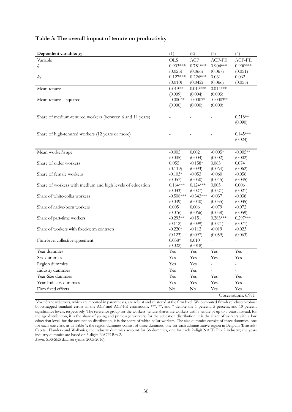| Dependent variable: y <sub>it</sub>                       | (1)            | (2)            | (3)         | (4)                 |
|-----------------------------------------------------------|----------------|----------------|-------------|---------------------|
| Variable                                                  | <b>OLS</b>     | ACF            | ACF-FE      | ACF-FE              |
| $l_{it}$                                                  | $0.903***$     | $0.781***$     | $0.904***$  | $0.900***$          |
|                                                           | (0.025)        | (0.066)        | (0.067)     | (0.051)             |
| $k_{it}$                                                  | $0.127***$     | $0.226***$     | 0.061       | 0.062               |
|                                                           | (0.010)        | (0.042)        | (0.066)     | (0.055)             |
| Mean tenure                                               | $0.019**$      | $0.019***$     | $0.014***$  |                     |
|                                                           | (0.009)        | (0.004)        | (0.005)     |                     |
| Mean tenure - squared                                     | $-0.0004*$     | $-0.0003*$     | $-0.0003**$ |                     |
|                                                           | (0.000)        | (0.000)        | (0.000)     |                     |
|                                                           |                |                |             |                     |
| Share of medium-tenured workers (between 6 and 11 years)  |                |                |             | $0.218**$           |
|                                                           |                |                |             | (0.090)             |
| Share of high-tenured workers (12 years or more)          |                |                |             | $0.145***$          |
|                                                           |                |                |             | (0.024)             |
|                                                           |                |                |             |                     |
| Mean worker's age                                         | $-0.005$       | 0.002          | $-0.005*$   | $-0.005**$          |
|                                                           | (0.005)        | (0.004)        | (0.002)     | (0.002)             |
| Share of older workers                                    | 0.055          | $-0.158*$      | 0.063       | 0.074               |
|                                                           | (0.119)        | (0.093)        | (0.064)     | (0.062)             |
| Share of female workers                                   | $-0.103*$      | $-0.053$       | $-0.060$    | $-0.056$            |
|                                                           | (0.057)        | (0.050)        | (0.045)     | (0.045)             |
| Share of workers with medium and high levels of education | $0.164***$     | $0.124***$     | 0.005       | 0.006               |
|                                                           | (0.033)        | (0.027)        | (0.021)     | (0.021)             |
| Share of white-collar workers                             | $-0.508***$    | $-0.343***$    | $-0.037$    | $-0.038$            |
|                                                           | (0.049)        | (0.040)        | (0.035)     | (0.035)             |
| Share of native-born workers                              | 0.005          | 0.006          | $-0.079$    | $-0.072$            |
|                                                           | (0.076)        | (0.066)        | (0.058)     | (0.059)             |
| Share of part-time workers                                | $-0.293**$     | $-0.151$       | $0.283***$  | $0.297***$          |
|                                                           | (0.112)        | (0.099)        | (0.071)     | (0.071)             |
| Share of workers with fixed-term contracts                | $-0.220*$      | $-0.112$       | $-0.019$    | $-0.023$            |
|                                                           | (0.123)        | (0.097)        | (0.059)     | (0.063)             |
| Firm-level collective agreement                           | $0.038*$       | 0.010          |             |                     |
| Year dummies                                              | (0.022)<br>Yes | (0.018)<br>Yes | Yes         | Yes                 |
| Size dummies                                              | Yes            | Yes            | Yes         | Yes                 |
|                                                           |                |                |             |                     |
| Region dummies                                            | Yes            | Yes            |             |                     |
| Industry dummies                                          | Yes            | Yes            |             |                     |
| Year-Size dummies                                         | Yes            | Yes            | Yes         | Yes                 |
| Year-Industry dummies                                     | Yes            | Yes            | Yes         | Yes                 |
| Firm fixed effects                                        | $\rm No$       | $\rm No$       | Yes         | Yes                 |
|                                                           |                |                |             | Observations: 6.971 |

#### **Table 3: The overall impact of tenure on productivity**

*Notes:* Standard errors, which are reported in parentheses, are robust and clustered at the firm level. We computed firm-level cluster-robust bootstrapped standard errors in the ACF and ACF-FE estimations. \*\*\*, \*\*, and \* denote the 1 percent, 5 percent, and 10 percent significance levels, respectively. The reference group for the workers' tenure shares are workers with a tenure of up to 5 years; instead, for the age distribution, it is the share of young and prime-age workers; for the education distribution, it is the share of workers with a low education level; for the occupation distribution, it is the share of white-collar workers. The size dummies consist of three dummies, one for each size class, as in Table 1; the region dummies consist of three dummies, one for each administrative region in Belgium (Brussels-Capital, Flanders and Wallonia); the industry dummies account for 36 dummies, one for each 2-digit NACE Rev.2 industry; the yearindustry dummies are based on 3-digits NACE Rev.2.

*Source:* SBS-SES data set (years: 2005-2016).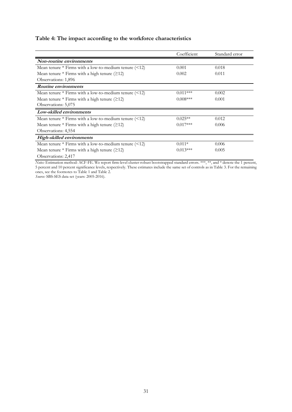### **Table 4: The impact according to the workforce characteristics**

|                                                       | Coefficient | Standard error |
|-------------------------------------------------------|-------------|----------------|
| Non-routine environments                              |             |                |
| Mean tenure $*$ Firms with a low-to-medium tenure $($ | 0.001       | 0.018          |
| Mean tenure $*$ Firms with a high tenure ( $\geq$ 12) | 0.002       | 0.011          |
| Observations: 1,896                                   |             |                |
| Routine environments                                  |             |                |
| Mean tenure $*$ Firms with a low-to-medium tenure $($ | $0.011***$  | 0.002          |
| Mean tenure $*$ Firms with a high tenure ( $\geq$ 12) | $0.008***$  | 0.001          |
| Observations: 5,075                                   |             |                |
| Low-skilled environments                              |             |                |
| Mean tenure $*$ Firms with a low-to-medium tenure $($ | $0.025**$   | 0.012          |
| Mean tenure $*$ Firms with a high tenure ( $\geq$ 12) | $0.017***$  | 0.006          |
| Observations: 4,554                                   |             |                |
| High-skilled environments                             |             |                |
| Mean tenure $*$ Firms with a low-to-medium tenure $($ | $0.011*$    | 0.006          |
| Mean tenure $*$ Firms with a high tenure ( $\geq$ 12) | $0.013***$  | 0.005          |
| Observations: 2,417                                   |             |                |

*Notes:* Estimation method: ACF-FE. We report firm-level cluster-robust bootstrapped standard errors. \*\*\*, \*\*, and \* denote the 1 percent, 5 percent and 10 percent significance levels, respectively. These estimates include the same set of controls as in Table 3. For the remaining ones, see the footnotes to Table 1 and Table 2.

*Source:* SBS-SES data set (years: 2005-2016).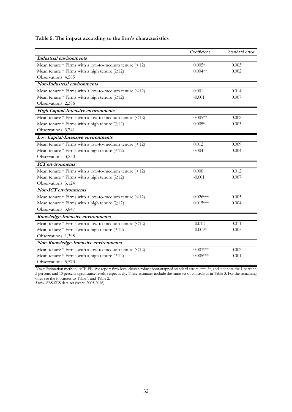### **Table 5: The impact according to the firm's characteristics**

|                                                       | Coefficient | Standard error |
|-------------------------------------------------------|-------------|----------------|
| Industrial environments                               |             |                |
| Mean tenure * Firms with a low-to-medium tenure (<12) | $0.005*$    | 0.003          |
| Mean tenure $*$ Firms with a high tenure ( $\geq$ 12) | $0.004**$   | 0.002          |
| Observations: 4,585                                   |             |                |
| Non-Industrial environments                           |             |                |
| Mean tenure * Firms with a low-to-medium tenure (<12) | 0.001       | 0.014          |
| Mean tenure $*$ Firms with a high tenure ( $\geq$ 12) | $-0.001$    | 0.007          |
| Observations: 2,386                                   |             |                |
| <b>High Capital-Intensive environments</b>            |             |                |
| Mean tenure $*$ Firms with a low-to-medium tenure $($ | $0.005**$   | 0.002          |
| Mean tenure $*$ Firms with a high tenure ( $\geq$ 12) | $0.005*$    | 0.003          |
| Observations: 3,741                                   |             |                |
| Low Capital-Intensive environments                    |             |                |
| Mean tenure * Firms with a low-to-medium tenure (<12) | 0.012       | 0.009          |
| Mean tenure $*$ Firms with a high tenure ( $\geq$ 12) | 0.004       | 0.004          |
| Observations: 3,230                                   |             |                |
| <b>ICT</b> environments                               |             |                |
| Mean tenure $*$ Firms with a low-to-medium tenure $($ | 0.000       | 0.012          |
| Mean tenure $*$ Firms with a high tenure ( $\geq$ 12) | $-0.001$    | 0.007          |
| Observations: 3,124                                   |             |                |
| <b>Non-ICT</b> environments                           |             |                |
| Mean tenure $*$ Firms with a low-to-medium tenure $($ | $0.026***$  | 0.005          |
| Mean tenure $*$ Firms with a high tenure ( $\geq$ 12) | $0.015***$  | 0.004          |
| Observations: 3,847                                   |             |                |
| Knowledge-Intensive environments                      |             |                |
| Mean tenure * Firms with a low-to-medium tenure (<12) | $-0.012$    | 0.011          |
| Mean tenure $*$ Firms with a high tenure ( $\geq$ 12) | $-0.009*$   | 0.005          |
| Observations: 1,398                                   |             |                |
| Non-Knowledge-Intensive environments                  |             |                |
| Mean tenure * Firms with a low-to-medium tenure (<12) | $0.007***$  | 0.002          |
| Mean tenure $*$ Firms with a high tenure ( $\geq$ 12) | $0.005***$  | 0.001          |
| Observations: 5,573                                   |             |                |

*Notes:* Estimation method: ACF-FE. We report firm-level cluster-robust bootstrapped standard errors. \*\*\*, \*\*, and \* denote the 1 percent, 5 percent, and 10 percent significance levels, respectively. These estimates include the same set of controls as in Table 3. For the remaining ones see the footnotes to Table 1 and Table 2.

*Source:* SBS-SES data set (years: 2005-2016).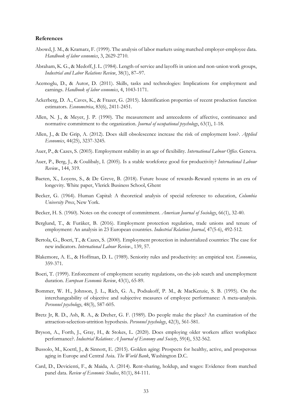#### **References**

- Abowd, J. M., & Kramarz, F. (1999). The analysis of labor markets using matched employer-employee data. *Handbook of labor economics*, 3, 2629-2710.
- Abraham, K. G., & Medoff, J. L. (1984). Length of service and layoffs in union and non-union work groups, *Industrial and Labor Relations Review*, 38(1), 87–97.
- Acemoglu, D., & Autor, D. (2011). Skills, tasks and technologies: Implications for employment and earnings. *Handbook of labor economics*, 4, 1043-1171.
- Ackerberg, D. A., Caves, K., & Frazer, G. (2015). Identification properties of recent production function estimators. *Econometrica*, 83(6), 2411-2451.
- Allen, N. J., & Meyer, J. P. (1990). The measurement and antecedents of affective, continuance and normative commitment to the organization. *Journal of occupational psychology*, 63(1), 1-18.
- Allen, J., & De Grip, A. (2012). Does skill obsolescence increase the risk of employment loss?. *Applied Economics*, 44(25), 3237-3245.
- Auer, P., & Cazes, S. (2003). Employment stability in an age of flexibility. *International Labour Office*. Geneva.
- Auer, P., Berg, J., & Coulibaly, I. (2005). Is a stable workforce good for productivity? *International Labour Review*., 144, 319.
- Baeten, X., Loyens, S., & De Greve, B. (2018). Future house of rewards-Reward systems in an era of longevity. White paper, Vlerick Business School, Ghent
- Becker, G. (1964). Human Capital: A theoretical analysis of special reference to education, *Columbia University Press*, New York.
- Becker, H. S. (1960). Notes on the concept of commitment. *American Journal of Sociology*, 66(1), 32-40.
- Berglund, T., & Furåker, B. (2016). Employment protection regulation, trade unions and tenure of employment: An analysis in 23 European countries. *Industrial Relations Journal*, 47(5-6), 492-512.
- Bertola, G., Boeri, T., & Cazes, S. (2000). Employment protection in industrialized countries: The case for new indicators. *International Labour Review*., 139, 57.
- Blakemore, A. E., & Hoffman, D. L. (1989). Seniority rules and productivity: an empirical test. *Economica*, 359-371.
- Boeri, T. (1999). Enforcement of employment security regulations, on-the-job search and unemployment duration. *European Economic Review*, 43(1), 65-89.
- Bommer, W. H., Johnson, J. L., Rich, G. A., Podsakoff, P. M., & MacKenzie, S. B. (1995). On the interchangeability of objective and subjective measures of employee performance: A meta-analysis. *Personnel psychology*, 48(3), 587-605.
- Bretz Jr, R. D., Ash, R. A., & Dreher, G. F. (1989). Do people make the place? An examination of the attraction‐selection‐attrition hypothesis. *Personnel psychology*, 42(3), 561-581.
- Bryson, A., Forth, J., Gray, H., & Stokes, L. (2020). Does employing older workers affect workplace performance?. *Industrial Relations: A Journal of Economy and Society*, 59(4), 532-562.
- Bussolo, M., Koettl, J., & Sinnott, E. (2015). Golden aging: Prospects for healthy, active, and prosperous aging in Europe and Central Asia. *The World Bank*, Washington D.C.
- Card, D., Devicienti, F., & Maida, A. (2014). Rent-sharing, holdup, and wages: Evidence from matched panel data. *Review of Economic Studies*, 81(1), 84-111.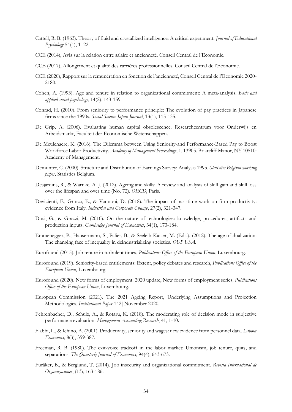- Cattell, R. B. (1963). Theory of fluid and crystallized intelligence: A critical experiment. *Journal of Educational Psychology* 54(1), 1–22.
- CCE (2014), Avis sur la relation entre salaire et ancienneté. Conseil Central de l'Economie.
- CCE (2017), Allongement et qualité des carrières professionnelles. Conseil Central de l'Economie.
- CCE (2020), Rapport sur la rémunération en fonction de l'ancienneté, Conseil Central de l'Economie 2020- 2180.
- Cohen, A. (1993). Age and tenure in relation to organizational commitment: A meta-analysis. *Basic and applied social psychology*, 14(2), 143-159.
- Conrad, H. (2010). From seniority to performance principle: The evolution of pay practices in Japanese firms since the 1990s. *Social Science Japan Journal*, 13(1), 115-135.
- De Grip, A. (2006). Evaluating human capital obsolescence. Researchcentrum voor Onderwijs en Arbeidsmarkt, Faculteit der Economische Wetenschappen.
- De Meulenaere, K. (2016). The Dilemma between Using Seniority-and Performance-Based Pay to Boost Workforce Labor Productivity. *Academy of Management Proceedings*, 1, 13905. Briarcliff Manor, NY 10510: Academy of Management.
- Demunter, C. (2000). Structure and Distribution of Earnings Survey: Analysis 1995. *Statistics Belgium working paper*, Statistics Belgium.
- Desjardins, R., & Warnke, A. J. (2012). Ageing and skills: A review and analysis of skill gain and skill loss over the lifespan and over time (No. 72). *OECD*, Paris.
- Devicienti, F., Grinza, E., & Vannoni, D. (2018). The impact of part-time work on firm productivity: evidence from Italy. *Industrial and Corporate Change*, 27(2), 321-347.
- Dosi, G., & Grazzi, M. (2010). On the nature of technologies: knowledge, procedures, artifacts and production inputs. *Cambridge Journal of Economics*, 34(1), 173-184.
- Emmenegger, P., Häusermann, S., Palier, B., & Seeleib-Kaiser, M. (Eds.). (2012). The age of dualization: The changing face of inequality in deindustrializing societies. *OUP USA*.
- Eurofound (2015). Job tenure in turbulent times, *Publications Office of the European Union*, Luxembourg.
- Eurofound (2019). Seniority-based entitlements: Extent, policy debates and research, *Publications Office of the European Union*, Luxembourg.
- Eurofound (2020). New forms of employment: 2020 update, New forms of employment series*, Publications Office of the European Union*, Luxembourg.
- European Commission (2021). The 2021 Ageing Report, Underlying Assumptions and Projection Methodologies, *Institutional Paper* 142|November 2020.
- Fehrenbacher, D., Schulz, A., & Rotaru, K. (2018). The moderating role of decision mode in subjective performance evaluation. *Management Accounting Research*, 41, 1-10.
- Flabbi, L., & Ichino, A. (2001). Productivity, seniority and wages: new evidence from personnel data. *Labour Economics*, 8(3), 359-387.
- Freeman, R. B. (1980). The exit-voice tradeoff in the labor market: Unionism, job tenure, quits, and separations. *The Quarterly Journal of Economics*, 94(4), 643-673.
- Furåker, B., & Berglund, T. (2014). Job insecurity and organizational commitment. *Revista Internacional de Organizaciones*, (13), 163-186.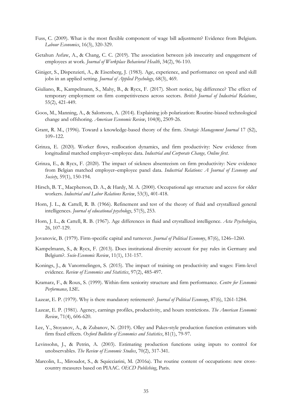- Fuss, C. (2009). What is the most flexible component of wage bill adjustment? Evidence from Belgium. *Labour Economics*, 16(3), 320-329.
- Getahun Asfaw, A., & Chang, C. C. (2019). The association between job insecurity and engagement of employees at work. *Journal of Workplace Behavioral Health*, 34(2), 96-110.
- Giniger, S., Dispenzieri, A., & Eisenberg, J. (1983). Age, experience, and performance on speed and skill jobs in an applied setting*. Journal of Applied Psychology*, 68(3), 469.
- Giuliano, R., Kampelmann, S., Mahy, B., & Rycx, F. (2017). Short notice, big difference? The effect of temporary employment on firm competitiveness across sectors. *British Journal of Industrial Relations*, 55(2), 421-449.
- Goos, M., Manning, A., & Salomons, A. (2014). Explaining job polarization: Routine-biased technological change and offshoring. *American Economic Review*, 104(8), 2509-26.
- Grant, R. M., (1996). Toward a knowledge-based theory of the firm. *Strategic Management Journal* 17 (S2), 109–122.
- Grinza, E. (2020). Worker flows, reallocation dynamics, and firm productivity: New evidence from longitudinal matched employer–employee data. *Industrial and Corporate Change, Online first*.
- Grinza, E., & Rycx, F. (2020). The impact of sickness absenteeism on firm productivity: New evidence from Belgian matched employer–employee panel data. *Industrial Relations: A Journal of Economy and Society*, 59(1), 150-194.
- Hirsch, B. T., Macpherson, D. A., & Hardy, M. A. (2000). Occupational age structure and access for older workers. *Industrial and Labor Relations Review*, 53(3), 401-418.
- Horn, J. L., & Cattell, R. B. (1966). Refinement and test of the theory of fluid and crystallized general intelligences. *Journal of educational psychology*, 57(5), 253.
- Horn, J. L., & Cattell, R. B. (1967). Age differences in fluid and crystallized intelligence. *Acta Psychologica*, 26, 107-129.
- Jovanovic, B. (1979). Firm-specific capital and turnover. *Journal of Political Economy*, 87(6), 1246–1260.
- Kampelmann, S., & Rycx, F. (2013). Does institutional diversity account for pay rules in Germany and Belgium?. *Socio-Economic Review*, 11(1), 131-157.
- Konings, J., & Vanormelingen, S. (2015). The impact of training on productivity and wages: Firm-level evidence. *Review of Economics and Statistics*, 97(2), 485-497.
- Kramarz, F., & Roux, S. (1999). Within-firm seniority structure and firm performance. *Centre for Economic Performance,* LSE*.*
- Lazear, E. P. (1979). Why is there mandatory retirement?. *Journal of Political Economy*, 87(6), 1261-1284.
- Lazear, E. P. (1981). Agency, earnings profiles, productivity, and hours restrictions*. The American Economic Review*, 71(4), 606-620.
- Lee, Y., Stoyanov, A., & Zubanov, N. (2019). Olley and Pakes‐style production function estimators with firm fixed effects. *Oxford Bulletin of Economics and Statistics*, 81(1), 79-97.
- Levinsohn, J., & Petrin, A. (2003). Estimating production functions using inputs to control for unobservables. *The Review of Economic Studies*, 70(2), 317-341.
- Marcolin, L., Miroudot, S., & Squicciarini, M. (2016a). The routine content of occupations: new crosscountry measures based on PIAAC. *OECD Publishing*, Paris.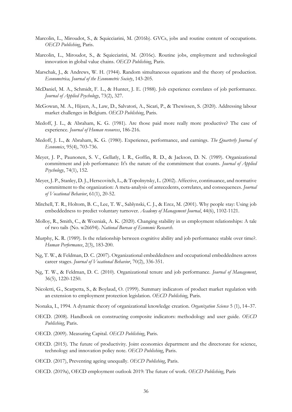- Marcolin, L., Miroudot, S., & Squicciarini, M. (2016b). GVCs, jobs and routine content of occupations. *OECD Publishing*, Paris.
- Marcolin, L., Miroudot, S., & Squicciarini, M. (2016c). Routine jobs, employment and technological innovation in global value chains. *OECD Publishing*, Paris.
- Marschak, J., & Andrews, W. H. (1944). Random simultaneous equations and the theory of production. *Econometrica, Journal of the Econometric Society*, 143-205.
- McDaniel, M. A., Schmidt, F. L., & Hunter, J. E. (1988). Job experience correlates of job performance. *Journal of Applied Psychology*, 73(2), 327.
- McGowan, M. A., Hijzen, A., Law, D., Salvatori, A., Sicari, P., & Thewissen, S. (2020). Addressing labour market challenges in Belgium. *OECD Publishing*, Paris*.*
- Medoff, J. L., & Abraham, K. G. (1981). Are those paid more really more productive? The case of experience. *Journal of Human resources*, 186-216.
- Medoff, J. L., & Abraham, K. G. (1980). Experience, performance, and earnings. *The Quarterly Journal of Economics*, 95(4), 703-736.
- Meyer, J. P., Paunonen, S. V., Gellatly, I. R., Goffin, R. D., & Jackson, D. N. (1989). Organizational commitment and job performance: It's the nature of the commitment that counts. *Journal of Applied Psychology*, 74(1), 152.
- Meyer, J. P., Stanley, D. J., Herscovitch, L., & Topolnytsky, L. (2002). Affective, continuance, and normative commitment to the organization: A meta-analysis of antecedents, correlates, and consequences. *Journal of Vocational Behavior*, 61(1), 20-52.
- Mitchell, T. R., Holtom, B. C., Lee, T. W., Sablynski, C. J., & Erez, M. (2001). Why people stay: Using job embeddedness to predict voluntary turnover. *Academy of Management Journal*, 44(6), 1102-1121.
- Molloy, R., Smith, C., & Wozniak, A. K. (2020). Changing stability in us employment relationships: A tale of two tails (No. w26694). *National Bureau of Economic Research*.
- Murphy, K. R. (1989). Is the relationship between cognitive ability and job performance stable over time?. *Human Performance*, 2(3), 183-200.
- Ng, T. W., & Feldman, D. C. (2007). Organizational embeddedness and occupational embeddedness across career stages. *Journal of Vocational Behavior*, 70(2), 336-351.
- Ng, T. W., & Feldman, D. C. (2010). Organizational tenure and job performance. *Journal of Management*, 36(5), 1220-1250.
- Nicoletti, G., Scarpetta, S., & Boylaud, O. (1999). Summary indicators of product market regulation with an extension to employment protection legislation. *OECD Publishing*, Paris.
- Nonaka, I., 1994. A dynamic theory of organizational knowledge creation. *Organization Science* 5 (1), 14–37.
- OECD. (2008). Handbook on constructing composite indicators: methodology and user guide. *OECD Publishing*, Paris.
- OECD. (2009). Measuring Capital. *OECD Publishing*, Paris.
- OECD. (2015). The future of productivity. Joint economics department and the directorate for science, technology and innovation policy note. *OECD Publishing*, Paris.
- OECD. (2017), Preventing ageing unequally. *OECD Publishing*, Paris.
- OECD. (2019a), OECD employment outlook 2019: The future of work. *OECD Publishing*, Paris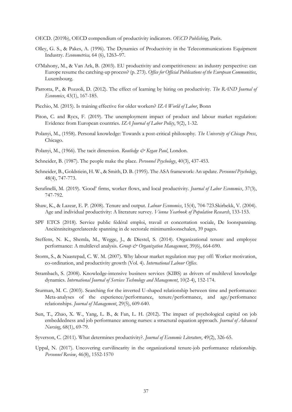OECD. (2019b), OECD compendium of productivity indicators. *OECD Publishing*, Paris.

- Olley, G. S., & Pakes, A. (1996). The Dynamics of Productivity in the Telecommunications Equipment Industry. *Econometrica,* 64 (6), 1263–97.
- O'Mahony, M., & Van Ark, B. (2003). EU productivity and competitiveness: an industry perspective: can Europe resume the catching-up process? (p. 273). *Office for Official Publications of the European Communities*, Luxembourg.
- Parrotta, P., & Pozzoli, D. (2012). The effect of learning by hiring on productivity. *The RAND Journal of Economics*, 43(1), 167-185.
- Picchio, M. (2015). Is training effective for older workers? *IZA World of Labor*, Bonn
- Piton, C. and Rycx, F. (2019). The unemployment impact of product and labour market regulation: Evidence from European countries. *IZA Journal of Labor Policy*, 9(2), 1-32.
- Polanyi, M., (1958). Personal knowledge: Towards a post-critical philosophy. *The University of Chicago Press*, Chicago.
- Polanyi, M., (1966). The tacit dimension. *Routledge & Kegan Paul*, London.
- Schneider, B. (1987). The people make the place. *Personnel Psychology*, 40(3), 437-453.
- Schneider, B., Goldstiein, H. W., & Smith, D. B. (1995). The ASA framework: An update. *Personnel Psychology*, 48(4), 747-773.
- Serafinelli, M. (2019). 'Good' firms, worker flows, and local productivity. *Journal of Labor Economics*, 37(3), 747-792.
- Shaw, K., & Lazear, E. P. (2008). Tenure and output. *Labour Economics*, 15(4), 704-723.Skirbekk, V. (2004). Age and individual productivity: A literature survey. *Vienna Yearbook of Population Research*, 133-153.
- SPF ETCS (2018). Service public fédéral emploi, travail et concertation sociale, De loonspanning. Anciënniteitsgerelateerde spanning in de sectorale minimumloonschalen, 39 pages.
- Steffens, N. K., Shemla, M., Wegge, J., & Diestel, S. (2014). Organizational tenure and employee performance: A multilevel analysis. *Group & Organization Management*, 39(6), 664-690.
- Storm, S., & Naastepad, C. W. M. (2007). Why labour market regulation may pay off: Worker motivation, co-ordination, and productivity growth (Vol. 4). *International Labour Office*.
- Strambach, S. (2008). Knowledge-intensive business services (KIBS) as drivers of multilevel knowledge dynamics. *International Journal of Services Technology and Management*, 10(2-4), 152-174.
- Sturman, M. C. (2003). Searching for the inverted U-shaped relationship between time and performance: Meta-analyses of the experience/performance, tenure/performance, and age/performance relationships. *Journal of Management*, 29(5), 609-640.
- Sun, T., Zhao, X. W., Yang, L. B., & Fan, L. H. (2012). The impact of psychological capital on job embeddedness and job performance among nurses: a structural equation approach. *Journal of Advanced Nursing*, 68(1), 69-79.
- Syverson, C. (2011). What determines productivity?. *Journal of Economic Literature*, 49(2), 326-65.
- Uppal, N. (2017). Uncovering curvilinearity in the organizational tenure-job performance relationship. *Personnel Review*, 46(8), 1552-1570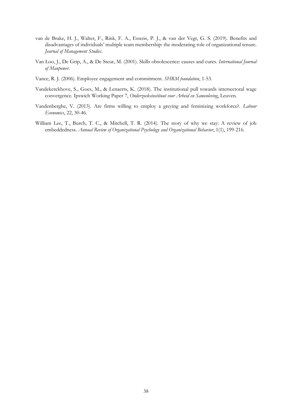- van de Brake, H. J., Walter, F., Rink, F. A., Essens, P. J., & van der Vegt, G. S. (2019). Benefits and disadvantages of individuals' multiple team membership: the moderating role of organizational tenure. *Journal of Management Studies*.
- Van Loo, J., De Grip, A., & De Steur, M. (2001). Skills obsolescence: causes and cures. *International Journal of Manpower*.
- Vance, R. J. (2006). Employee engagement and commitment. *SHRM foundation*, 1-53.
- Vandekerckhove, S., Goes, M., & Lenaerts, K. (2018). The institutional pull towards intersectoral wage convergence. Ipswich Working Paper 7, *Onderzoeksinstituut voor Arbeid en Samenleving*, Leuven.
- Vandenberghe, V. (2013). Are firms willing to employ a greying and feminizing workforce?. *Labour Economics*, 22, 30-46.
- William Lee, T., Burch, T. C., & Mitchell, T. R. (2014). The story of why we stay: A review of job embeddedness. *Annual Review of Organizational Psychology and Organizational Behavior*, 1(1), 199-216.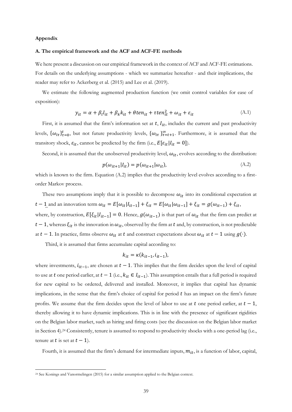#### **Appendix**

#### **A. The empirical framework and the ACF and ACF-FE methods**

We here present a discussion on our empirical framework in the context of ACF and ACF-FE estimations. For details on the underlying assumptions - which we summarize hereafter - and their implications, the reader may refer to Ackerberg et al. (2015) and Lee et al. (2019).

We estimate the following augmented production function (we omit control variables for ease of exposition):

$$
y_{it} = \alpha + \beta_l l_{it} + \beta_k k_{it} + \theta \tan_{it} + \tau \tan_{it}^2 + \omega_{it} + \varepsilon_{it}
$$
(A.1)

First, it is assumed that the firm's information set at  $t$ ,  $I_{it}$ , includes the current and past productivity levels,  $\{\omega_{it}\}_{t=0}^t$ , but not future productivity levels,  $\{\omega_{it}\}_{t=t+1}^{\infty}$ . Furthermore, it is assumed that the transitory shock,  $\varepsilon_{it}$ , cannot be predicted by the firm (i.e.,  $E[\varepsilon_{it}|I_{it} = 0]$ ).

Second, it is assumed that the unobserved productivity level,  $\omega_{it}$ , evolves according to the distribution:

$$
p(\omega_{it+1}|I_{it}) = p(\omega_{it+1}|\omega_{it}),
$$
\n(A.2)

which is known to the firm. Equation (A.2) implies that the productivity level evolves according to a firstorder Markov process.

 $t - 1$  and an innovation term  $\omega_{it} = E[\omega_{it}|I_{it-1}] + \xi_{it} = E[\omega_{it}|\omega_{it-1}] + \xi_{it} = g(\omega_{it-1}) + \xi_{it}$ , These two assumptions imply that it is possible to decompose  $\omega_{it}$  into its conditional expectation at where, by construction,  $E[\xi_{it}|I_{it-1}] = 0$ . Hence,  $g(\omega_{it-1})$  is that part of  $\omega_{it}$  that the firm can predict at  $t-1$ , whereas  $\xi_{it}$  is the innovation in  $\omega_{it}$ , observed by the firm at  $t$  and, by construction, is not predictable at  $t - 1$ . In practice, firms observe  $\omega_{it}$  at  $t$  and construct expectations about  $\omega_{it}$  at  $t - 1$  using  $g(\cdot)$ .

Third, it is assumed that firms accumulate capital according to:

$$
k_{it} = \kappa(k_{it-1}, i_{it-1}),
$$

where investments,  $i_{it-1}$ , are chosen at  $t - 1$ . This implies that the firm decides upon the level of capital to use at t one period earlier, at  $t - 1$  (i.e.,  $k_{it} \in I_{it-1}$ ). This assumption entails that a full period is required for new capital to be ordered, delivered and installed. Moreover, it implies that capital has dynamic implications, in the sense that the firm's choice of capital for period  $t$  has an impact on the firm's future profits. We assume that the firm decides upon the level of labor to use at t one period earlier, at  $t-1$ , thereby allowing it to have dynamic implications. This is in line with the presence of significant rigidities on the Belgian labor market, such as hiring and firing costs (see the discussion on the Belgian labor market in Section 4).24 Consistently, tenure is assumed to respond to productivity shocks with a one-period lag (i.e., tenure at t is set at  $t - 1$ ).

Fourth, it is assumed that the firm's demand for intermediate inputs,  $m_{it}$ , is a function of labor, capital,

<sup>24</sup> See Konings and Vanormelingen (2015) for a similar assumption applied to the Belgian context.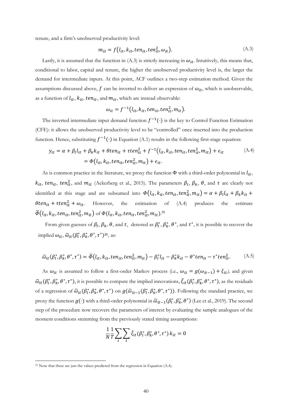tenure, and a firm's unobserved productivity level:

$$
m_{it} = f(l_{it}, k_{it}, ten_{it}, ten_{it}^2, \omega_{it}).
$$
\n(A.3)

Lastly, it is assumed that the function in (A.3) is strictly increasing in  $\omega_{it}$ . Intuitively, this means that, conditional to labor, capital and tenure, the higher the unobserved productivity level is, the larger the demand for intermediate inputs. At this point, ACF outlines a two-step estimation method. Given the assumptions discussed above,  $f$  can be inverted to deliver an expression of  $\omega_{it}$ , which is unobservable, as a function of  $l_{it}$ ,  $k_{it}$ ,  $ten_{it}$ , and  $m_{it}$ , which are instead observable:

$$
\omega_{it} = f^{-1}(l_{it}, k_{it}, ten_{it}, ten_{it}^2, m_{it}).
$$

The inverted intermediate input demand function  $f^{-1}(\cdot)$  is the key to Control Function Estimation (CFE): it allows the unobserved productivity level to be "controlled" once inserted into the production function. Hence, substituting  $f^{-1}(\cdot)$  in Equation (A.1) results in the following first-stage equation:

$$
y_{it} = \alpha + \beta_l l_{it} + \beta_k k_{it} + \theta \tan_{it} + \tau \tan_{it}^2 + f^{-1}(l_{it}, k_{it}, \tan_{it}, \tan_{it}^2, m_{it}) + \epsilon_{it}
$$
  
=  $\Phi(l_{it}, k_{it}, \tan_{it}, \tan_{it}^2, m_{it}) + \epsilon_{it}$ . (A.4)

As is common practice in the literature, we proxy the function  $\Phi$  with a third-order polynomial in  $l_{it}$ ,  $k_{it}$ ,  $ten_{it}$ ,  $ten_{it}^2$ , and  $m_{it}$  (Ackerberg et al., 2015). The parameters  $\beta_l$ ,  $\beta_k$ ,  $\theta$ , and  $\tau$  are clearly not identified at this stage and are subsumed into  $\Phi(l_{it}, k_{it}, ten_{it}, ten_{it}^2, m_{it}) = \alpha + \beta_l l_{it} + \beta_k k_{it} +$  $\theta$ ten<sub>it</sub> +  $\tau$ ten<sub>it</sub> +  $\omega_{it}$ . However, the estimation of (A.4) produces the estimate  $\widetilde{\Phi} (l_{it}, k_{it}, ten_{it}, ten_{it}^2, m_{it})$  of  $\Phi (l_{it}, k_{it}, ten_{it}, ten_{it}^2, m_{it})$ .<sup>25</sup>

From given guesses of  $\beta_l$ ,  $\beta_k$ ,  $\theta$ , and  $\tau$ , denoted as  $\beta_l^*, \beta_k^*, \theta^*$ , and  $\tau^*$ , it is possible to recover the implied  $\omega_{it}$ ,  $\widetilde{\omega}_{it}(\beta_l^*, \beta_k^*, \theta^*, \tau^*)^{26}$ , as:

$$
\widetilde{\omega}_{it}(\beta_l^*, \beta_k^*, \theta^*, \tau^*) = \widetilde{\Phi}(l_{it}, k_{it}, ten_{it}, ten_{it}^2, m_{it}) - \beta_l^* l_{it} - \beta_k^* k_{it} - \theta^* ten_{it} - \tau^* ten_{it}^2. \tag{A.5}
$$

As  $\omega_{it}$  is assumed to follow a first-order Markov process (i.e.,  $\omega_{it} = g(\omega_{it-1}) + \xi_{it}$ ), and given  $\tilde{\omega}_{it}(\beta_i^*, \beta_k^*, \theta^*, \tau^*)$ , it is possible to compute the implied innovations,  $\tilde{\xi}_{it}(\beta_i^*, \beta_k^*, \theta^*, \tau^*)$ , as the residuals of a regression of  $\tilde{\omega}_{it}(\beta_i^*, \beta_k^*, \theta^*, \tau^*)$  on  $g(\tilde{\omega}_{it-1}(\beta_i^*, \beta_k^*, \theta^*, \tau^*))$ . Following the standard practice, we proxy the function  $g(\cdot)$  with a third-order polynomial in  $\tilde{\omega}_{it-1}(\beta_t^*, \beta_t^*, \theta^*)$  (Lee et al., 2019). The second step of the procedure now recovers the parameters of interest by evaluating the sample analogues of the moment conditions stemming from the previously stated timing assumptions:

$$
\frac{1}{N}\frac{1}{T}\sum_{i}\sum_{t}\tilde{\xi}_{it}(\beta_{l}^{*},\beta_{k}^{*},\theta^{*},\tau^{*})k_{it}=0
$$

 $25$  Note that these are just the values predicted from the regression in Equation (A.4).